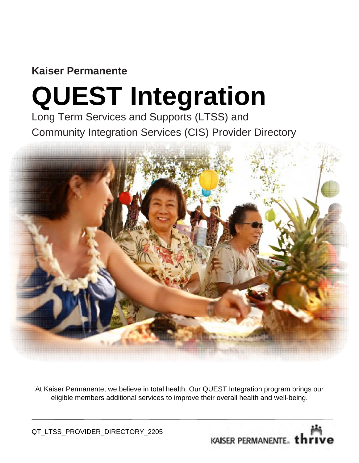### **Kaiser Permanente**

# **QUEST Integration**

Long Term Services and Supports (LTSS) and Community Integration Services (CIS) Provider Directory



At Kaiser Permanente, we believe in total health. Our QUEST Integration program brings our eligible members additional services to improve their overall health and well-being.

QT\_LTSS\_PROVIDER\_DIRECTORY\_2205

KAISER PERMANENTE. *thriv*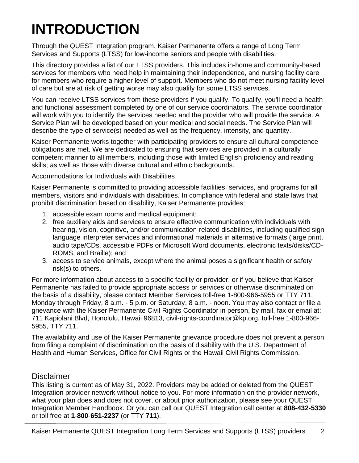## **INTRODUCTION**

Through the QUEST Integration program. Kaiser Permanente offers a range of Long Term Services and Supports (LTSS) for low-income seniors and people with disabilities.

This directory provides a list of our LTSS providers. This includes in-home and community-based services for members who need help in maintaining their independence, and nursing facility care for members who require a higher level of support. Members who do not meet nursing facility level of care but are at risk of getting worse may also qualify for some LTSS services.

You can receive LTSS services from these providers if you qualify. To qualify, you'll need a health and functional assessment completed by one of our service coordinators. The service coordinator will work with you to identify the services needed and the provider who will provide the service. A Service Plan will be developed based on your medical and social needs. The Service Plan will describe the type of service(s) needed as well as the frequency, intensity, and quantity.

Kaiser Permanente works together with participating providers to ensure all cultural competence obligations are met. We are dedicated to ensuring that services are provided in a culturally competent manner to all members, including those with limited English proficiency and reading skills; as well as those with diverse cultural and ethnic backgrounds.

Accommodations for Individuals with Disabilities

Kaiser Permanente is committed to providing accessible facilities, services, and programs for all members, visitors and individuals with disabilities. In compliance with federal and state laws that prohibit discrimination based on disability, Kaiser Permanente provides:

- 1. accessible exam rooms and medical equipment;
- 2. free auxiliary aids and services to ensure effective communication with individuals with hearing, vision, cognitive, and/or communication-related disabilities, including qualified sign language interpreter services and informational materials in alternative formats (large print, audio tape/CDs, accessible PDFs or Microsoft Word documents, electronic texts/disks/CD-ROMS, and Braille); and
- 3. access to service animals, except where the animal poses a significant health or safety risk(s) to others.

For more information about access to a specific facility or provider, or if you believe that Kaiser Permanente has failed to provide appropriate access or services or otherwise discriminated on the basis of a disability, please contact Member Services toll-free 1-800-966-5955 or TTY 711, Monday through Friday, 8 a.m. - 5 p.m. or Saturday, 8 a.m. - noon. You may also contact or file a grievance with the Kaiser Permanente Civil Rights Coordinator in person, by mail, fax or email at: 711 Kapiolani Blvd, Honolulu, Hawaii 96813, civil-rights-coordinator@kp.org, toll-free 1-800-966- 5955, TTY 711.

The availability and use of the Kaiser Permanente grievance procedure does not prevent a person from filing a complaint of discrimination on the basis of disability with the U.S. Department of Health and Human Services, Office for Civil Rights or the Hawaii Civil Rights Commission.

#### **Disclaimer**

This listing is current as of May 31, 2022. Providers may be added or deleted from the QUEST Integration provider network without notice to you. For more information on the provider network, what your plan does and does not cover, or about prior authorization, please see your QUEST Integration Member Handbook. Or you can call our QUEST Integration call center at **808**-**432-5330** or toll free at **1**-**800**-**651-2237** (or TTY **711**).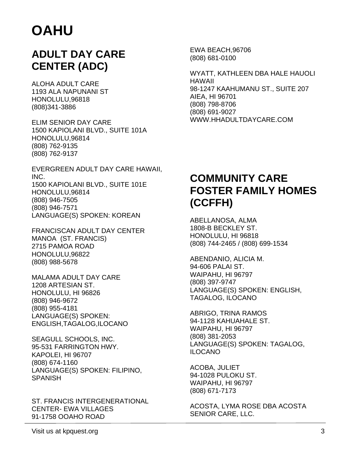### **ADULT DAY CARE CENTER (ADC)**

ALOHA ADULT CARE 1193 ALA NAPUNANI ST HONOLULU,96818 (808)341-3886

ELIM SENIOR DAY CARE 1500 KAPIOLANI BLVD., SUITE 101A HONOLULU,96814 (808) 762-9135 (808) 762-9137

EVERGREEN ADULT DAY CARE HAWAII, INC. 1500 KAPIOLANI BLVD., SUITE 101E HONOLULU,96814 (808) 946-7505 (808) 946-7571 LANGUAGE(S) SPOKEN: KOREAN

FRANCISCAN ADULT DAY CENTER MANOA (ST. FRANCIS) 2715 PAMOA ROAD HONOLULU,96822 (808) 988-5678

MALAMA ADULT DAY CARE 1208 ARTESIAN ST. HONOLULU, HI 96826 (808) 946-9672 (808) 955-4181 LANGUAGE(S) SPOKEN: ENGLISH,TAGALOG,ILOCANO

SEAGULL SCHOOLS, INC. 95-531 FARRINGTON HWY. KAPOLEI, HI 96707 (808) 674-1160 LANGUAGE(S) SPOKEN: FILIPINO, **SPANISH** 

ST. FRANCIS INTERGENERATIONAL CENTER- EWA VILLAGES 91-1758 OOAHO ROAD

EWA BEACH,96706 (808) 681-0100

WYATT, KATHLEEN DBA HALE HAUOLI HAWAII 98-1247 KAAHUMANU ST., SUITE 207 AIEA, HI 96701 (808) 798-8706 (808) 691-9027 WWW.HHADULTDAYCARE.COM

### **COMMUNITY CARE FOSTER FAMILY HOMES (CCFFH)**

ABELLANOSA, ALMA 1808-B BECKLEY ST. HONOLULU, HI 96818 (808) 744-2465 / (808) 699-1534

ABENDANIO, ALICIA M. 94-606 PALAI ST. WAIPAHU, HI 96797 (808) 397-9747 LANGUAGE(S) SPOKEN: ENGLISH, TAGALOG, ILOCANO

ABRIGO, TRINA RAMOS 94-1128 KAHUAHALE ST. WAIPAHU, HI 96797 (808) 381-2053 LANGUAGE(S) SPOKEN: TAGALOG, ILOCANO

ACOBA, JULIET 94-1028 PULOKU ST. WAIPAHU, HI 96797 (808) 671-7173

ACOSTA, LYMA ROSE DBA ACOSTA SENIOR CARE, LLC.

Visit us at kpquest.org 3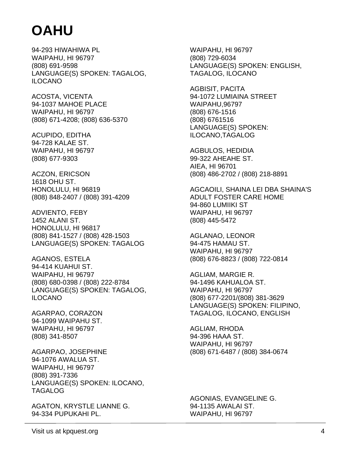94-293 HIWAHIWA PL WAIPAHU, HI 96797 (808) 691-9598 LANGUAGE(S) SPOKEN: TAGALOG, ILOCANO

ACOSTA, VICENTA 94-1037 MAHOE PLACE WAIPAHU, HI 96797 (808) 671-4208; (808) 636-5370

ACUPIDO, EDITHA 94-728 KALAE ST. WAIPAHU, HI 96797 (808) 677-9303

ACZON, ERICSON 1618 OHU ST. HONOLULU, HI 96819 (808) 848-2407 / (808) 391-4209

ADVIENTO, FEBY 1452 ALANI ST. HONOLULU, HI 96817 (808) 841-1527 / (808) 428-1503 LANGUAGE(S) SPOKEN: TAGALOG

AGANOS, ESTELA 94-414 KUAHUI ST. WAIPAHU, HI 96797 (808) 680-0398 / (808) 222-8784 LANGUAGE(S) SPOKEN: TAGALOG, ILOCANO

AGARPAO, CORAZON 94-1099 WAIPAHU ST. WAIPAHU, HI 96797 (808) 341-8507

AGARPAO, JOSEPHINE 94-1076 AWALUA ST. WAIPAHU, HI 96797 (808) 391-7336 LANGUAGE(S) SPOKEN: ILOCANO, TAGALOG

AGATON, KRYSTLE LIANNE G. 94-334 PUPUKAHI PL.

WAIPAHU, HI 96797 (808) 729-6034 LANGUAGE(S) SPOKEN: ENGLISH, TAGALOG, ILOCANO

AGBISIT, PACITA 94-1072 LUMIAINA STREET WAIPAHU,96797 (808) 676-1516 (808) 6761516 LANGUAGE(S) SPOKEN: ILOCANO,TAGALOG

AGBULOS, HEDIDIA 99-322 AHEAHE ST. AIEA, HI 96701 (808) 486-2702 / (808) 218-8891

AGCAOILI, SHAINA LEI DBA SHAINA'S ADULT FOSTER CARE HOME 94-860 LUMIIKI ST WAIPAHU, HI 96797 (808) 445-5472

AGLANAO, LEONOR 94-475 HAMAU ST. WAIPAHU, HI 96797 (808) 676-8823 / (808) 722-0814

AGLIAM, MARGIE R. 94-1496 KAHUALOA ST. WAIPAHU, HI 96797 (808) 677-2201/(808) 381-3629 LANGUAGE(S) SPOKEN: FILIPINO, TAGALOG, ILOCANO, ENGLISH

AGLIAM, RHODA 94-396 HAAA ST. WAIPAHU, HI 96797 (808) 671-6487 / (808) 384-0674

AGONIAS, EVANGELINE G. 94-1135 AWALAI ST. WAIPAHU, HI 96797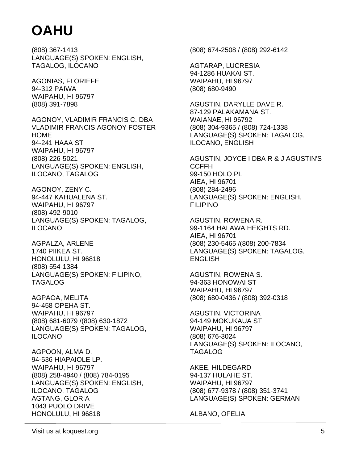(808) 367-1413 LANGUAGE(S) SPOKEN: ENGLISH, TAGALOG, ILOCANO

AGONIAS, FLORIEFE 94-312 PAIWA WAIPAHU, HI 96797 (808) 391-7898

AGONOY, VLADIMIR FRANCIS C. DBA VLADIMIR FRANCIS AGONOY FOSTER HOME 94-241 HAAA ST WAIPAHU, HI 96797 (808) 226-5021 LANGUAGE(S) SPOKEN: ENGLISH, ILOCANO, TAGALOG

AGONOY, ZENY C. 94-447 KAHUALENA ST. WAIPAHU, HI 96797 (808) 492-9010 LANGUAGE(S) SPOKEN: TAGALOG, ILOCANO

AGPALZA, ARLENE 1740 PIIKEA ST. HONOLULU, HI 96818 (808) 554-1384 LANGUAGE(S) SPOKEN: FILIPINO, TAGALOG

AGPAOA, MELITA 94-458 OPEHA ST. WAIPAHU, HI 96797 (808) 681-6079 /(808) 630-1872 LANGUAGE(S) SPOKEN: TAGALOG, ILOCANO

AGPOON, ALMA D. 94-536 HIAPAIOLE LP. WAIPAHU, HI 96797 (808) 258-4940 / (808) 784-0195 LANGUAGE(S) SPOKEN: ENGLISH, ILOCANO, TAGALOG AGTANG, GLORIA 1043 PUOLO DRIVE HONOLULU, HI 96818

(808) 674-2508 / (808) 292-6142

AGTARAP, LUCRESIA 94-1286 HUAKAI ST. WAIPAHU, HI 96797 (808) 680-9490

AGUSTIN, DARYLLE DAVE R. 87-129 PALAKAMANA ST. WAIANAE, HI 96792 (808) 304-9365 / (808) 724-1338 LANGUAGE(S) SPOKEN: TAGALOG, ILOCANO, ENGLISH

AGUSTIN, JOYCE I DBA R & J AGUSTIN'S CCFFH 99-150 HOLO PL AIEA, HI 96701 (808) 284-2496 LANGUAGE(S) SPOKEN: ENGLISH, FILIPINO

AGUSTIN, ROWENA R. 99-1164 HALAWA HEIGHTS RD. AIEA, HI 96701 (808) 230-5465 /(808) 200-7834 LANGUAGE(S) SPOKEN: TAGALOG, **ENGLISH** 

AGUSTIN, ROWENA S. 94-363 HONOWAI ST WAIPAHU, HI 96797 (808) 680-0436 / (808) 392-0318

AGUSTIN, VICTORINA 94-149 MOKUKAUA ST WAIPAHU, HI 96797 (808) 676-3024 LANGUAGE(S) SPOKEN: ILOCANO, TAGALOG

AKEE, HILDEGARD 94-137 HULAHE ST. WAIPAHU, HI 96797 (808) 677-9378 / (808) 351-3741 LANGUAGE(S) SPOKEN: GERMAN

ALBANO, OFELIA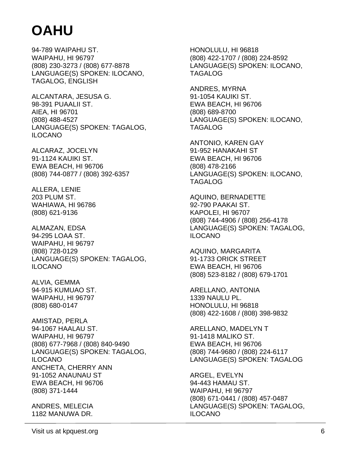94-789 WAIPAHU ST. WAIPAHU, HI 96797 (808) 230-3273 / (808) 677-8878 LANGUAGE(S) SPOKEN: ILOCANO, TAGALOG, ENGLISH

ALCANTARA, JESUSA G. 98-391 PUAALII ST. AIEA, HI 96701 (808) 488-4527 LANGUAGE(S) SPOKEN: TAGALOG, ILOCANO

ALCARAZ, JOCELYN 91-1124 KAUIKI ST. EWA BEACH, HI 96706 (808) 744-0877 / (808) 392-6357

ALLERA, LENIE 203 PLUM ST. WAHIAWA, HI 96786 (808) 621-9136

ALMAZAN, EDSA 94-295 LOAA ST. WAIPAHU, HI 96797 (808) 728-0129 LANGUAGE(S) SPOKEN: TAGALOG, ILOCANO

ALVIA, GEMMA 94-915 KUMUAO ST. WAIPAHU, HI 96797 (808) 680-0147

AMISTAD, PERLA 94-1067 HAALAU ST. WAIPAHU, HI 96797 (808) 677-7968 / (808) 840-9490 LANGUAGE(S) SPOKEN: TAGALOG, ILOCANO ANCHETA, CHERRY ANN 91-1052 ANAUNAU ST EWA BEACH, HI 96706 (808) 371-1444

ANDRES, MELECIA 1182 MANUWA DR.

HONOLULU, HI 96818 (808) 422-1707 / (808) 224-8592 LANGUAGE(S) SPOKEN: ILOCANO, TAGALOG

ANDRES, MYRNA 91-1054 KAUIKI ST. EWA BEACH, HI 96706 (808) 689-8700 LANGUAGE(S) SPOKEN: ILOCANO, TAGALOG

ANTONIO, KAREN GAY 91-952 HANAKAHI ST EWA BEACH, HI 96706 (808) 478-2166 LANGUAGE(S) SPOKEN: ILOCANO, TAGALOG

AQUINO, BERNADETTE 92-790 PAAKAI ST. KAPOLEI, HI 96707 (808) 744-4906 / (808) 256-4178 LANGUAGE(S) SPOKEN: TAGALOG, ILOCANO

AQUINO, MARGARITA 91-1733 ORICK STREET EWA BEACH, HI 96706 (808) 523-8182 / (808) 679-1701

ARELLANO, ANTONIA 1339 NAULU PL. HONOLULU, HI 96818 (808) 422-1608 / (808) 398-9832

ARELLANO, MADELYN T 91-1418 MALIKO ST. EWA BEACH, HI 96706 (808) 744-9680 / (808) 224-6117 LANGUAGE(S) SPOKEN: TAGALOG

ARGEL, EVELYN 94-443 HAMAU ST. WAIPAHU, HI 96797 (808) 671-0441 / (808) 457-0487 LANGUAGE(S) SPOKEN: TAGALOG, ILOCANO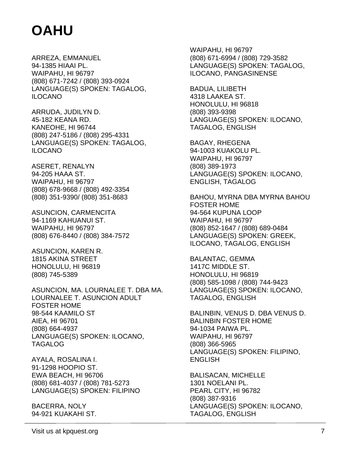ARREZA, EMMANUEL 94-1385 HIAAI PL. WAIPAHU, HI 96797 (808) 671-7242 / (808) 393-0924 LANGUAGE(S) SPOKEN: TAGALOG, ILOCANO

ARRUDA, JUDILYN D. 45-182 KEANA RD. KANEOHE, HI 96744 (808) 247-5186 / (808) 295-4331 LANGUAGE(S) SPOKEN: TAGALOG, ILOCANO

ASERET, RENALYN 94-205 HAAA ST. WAIPAHU, HI 96797 (808) 678-9668 / (808) 492-3354 (808) 351-9390/ (808) 351-8683

ASUNCION, CARMENCITA 94-1169 KAHUANUI ST. WAIPAHU, HI 96797 (808) 676-8440 / (808) 384-7572

ASUNCION, KAREN R. 1815 AKINA STREET HONOLULU, HI 96819 (808) 745-5389

ASUNCION, MA. LOURNALEE T. DBA MA. LOURNALEE T. ASUNCION ADULT FOSTER HOME 98-544 KAAMILO ST AIEA, HI 96701 (808) 664-4937 LANGUAGE(S) SPOKEN: ILOCANO, TAGALOG

AYALA, ROSALINA I. 91-1298 HOOPIO ST. EWA BEACH, HI 96706 (808) 681-4037 / (808) 781-5273 LANGUAGE(S) SPOKEN: FILIPINO

BACERRA, NOLY 94-921 KUAKAHI ST. WAIPAHU, HI 96797 (808) 671-6994 / (808) 729-3582 LANGUAGE(S) SPOKEN: TAGALOG, ILOCANO, PANGASINENSE

BADUA, LILIBETH 4318 LAAKEA ST. HONOLULU, HI 96818 (808) 393-9398 LANGUAGE(S) SPOKEN: ILOCANO, TAGALOG, ENGLISH

BAGAY, RHEGENA 94-1003 KUAKOLU PL. WAIPAHU, HI 96797 (808) 389-1973 LANGUAGE(S) SPOKEN: ILOCANO, ENGLISH, TAGALOG

BAHOU, MYRNA DBA MYRNA BAHOU FOSTER HOME 94-564 KUPUNA LOOP WAIPAHU, HI 96797 (808) 852-1647 / (808) 689-0484 LANGUAGE(S) SPOKEN: GREEK, ILOCANO, TAGALOG, ENGLISH

BALANTAC, GEMMA 1417C MIDDLE ST. HONOLULU, HI 96819 (808) 585-1098 / (808) 744-9423 LANGUAGE(S) SPOKEN: ILOCANO, TAGALOG, ENGLISH

BALINBIN, VENUS D. DBA VENUS D. BALINBIN FOSTER HOME 94-1034 PAIWA PL. WAIPAHU, HI 96797 (808) 366-5965 LANGUAGE(S) SPOKEN: FILIPINO, **ENGLISH** 

BALISACAN, MICHELLE 1301 NOELANI PL. PEARL CITY, HI 96782 (808) 387-9316 LANGUAGE(S) SPOKEN: ILOCANO, TAGALOG, ENGLISH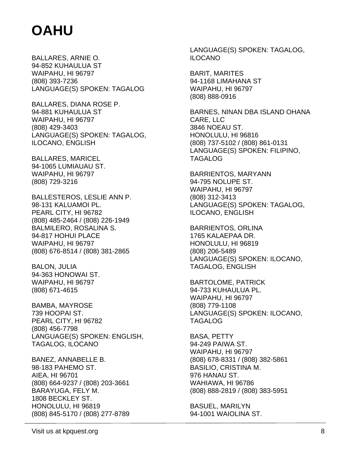BALLARES, ARNIE O. 94-852 KUHAULUA ST WAIPAHU, HI 96797 (808) 393-7236 LANGUAGE(S) SPOKEN: TAGALOG

BALLARES, DIANA ROSE P. 94-881 KUHAULUA ST WAIPAHU, HI 96797 (808) 429-3403 LANGUAGE(S) SPOKEN: TAGALOG, ILOCANO, ENGLISH

BALLARES, MARICEL 94-1065 LUMIAUAU ST. WAIPAHU, HI 96797 (808) 729-3216

BALLESTEROS, LESLIE ANN P. 98-131 KALUAMOI PL. PEARL CITY, HI 96782 (808) 485-2464 / (808) 226-1949 BALMILERO, ROSALINA S. 94-817 HOHUI PLACE WAIPAHU, HI 96797 (808) 676-8514 / (808) 381-2865

BALON, JULIA 94-363 HONOWAI ST. WAIPAHU, HI 96797 (808) 671-4615

BAMBA, MAYROSE 739 HOOPAI ST. PEARL CITY, HI 96782 (808) 456-7798 LANGUAGE(S) SPOKEN: ENGLISH, TAGALOG, ILOCANO

BANEZ, ANNABELLE B. 98-183 PAHEMO ST. AIEA, HI 96701 (808) 664-9237 / (808) 203-3661 BARAYUGA, FELY M. 1808 BECKLEY ST. HONOLULU, HI 96819 (808) 845-5170 / (808) 277-8789

LANGUAGE(S) SPOKEN: TAGALOG, ILOCANO

BARIT, MARITES 94-1168 LIMAHANA ST WAIPAHU, HI 96797 (808) 888-0916

BARNES, NINAN DBA ISLAND OHANA CARE, LLC 3846 NOEAU ST. HONOLULU, HI 96816 (808) 737-5102 / (808) 861-0131 LANGUAGE(S) SPOKEN: FILIPINO, TAGALOG

BARRIENTOS, MARYANN 94-795 NOLUPE ST. WAIPAHU, HI 96797 (808) 312-3413 LANGUAGE(S) SPOKEN: TAGALOG, ILOCANO, ENGLISH

BARRIENTOS, ORLINA 1765 KALAEPAA DR. HONOLULU, HI 96819 (808) 206-5489 LANGUAGE(S) SPOKEN: ILOCANO, TAGALOG, ENGLISH

BARTOLOME, PATRICK 94-733 KUHAULUA PL. WAIPAHU, HI 96797 (808) 779-1108 LANGUAGE(S) SPOKEN: ILOCANO, TAGALOG

BASA, PETTY 94-249 PAIWA ST. WAIPAHU, HI 96797 (808) 678-8331 / (808) 382-5861 BASILIO, CRISTINA M. 976 HANAU ST. WAHIAWA, HI 96786 (808) 888-2819 / (808) 383-5951

BASUEL, MARILYN 94-1001 WAIOLINA ST.

Visit us at kpquest.org 8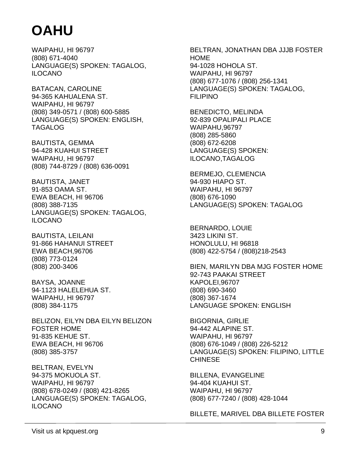WAIPAHU, HI 96797 (808) 671-4040 LANGUAGE(S) SPOKEN: TAGALOG, ILOCANO

BATACAN, CAROLINE 94-365 KAHUALENA ST. WAIPAHU, HI 96797 (808) 349-0571 / (808) 600-5885 LANGUAGE(S) SPOKEN: ENGLISH, TAGALOG

BAUTISTA, GEMMA 94-428 KUAHUI STREET WAIPAHU, HI 96797 (808) 744-8729 / (808) 636-0091

BAUTISTA, JANET 91-853 OAMA ST. EWA BEACH, HI 96706 (808) 388-7135 LANGUAGE(S) SPOKEN: TAGALOG, ILOCANO

BAUTISTA, LEILANI 91-866 HAHANUI STREET EWA BEACH,96706 (808) 773-0124 (808) 200-3406

BAYSA, JOANNE 94-1123 HALELEHUA ST. WAIPAHU, HI 96797 (808) 384-1175

BELIZON, EILYN DBA EILYN BELIZON FOSTER HOME 91-835 KEHUE ST. EWA BEACH, HI 96706 (808) 385-3757

BELTRAN, EVELYN 94-375 MOKUOLA ST. WAIPAHU, HI 96797 (808) 678-0249 / (808) 421-8265 LANGUAGE(S) SPOKEN: TAGALOG, ILOCANO

BELTRAN, JONATHAN DBA JJJB FOSTER **HOME** 94-1028 HOHOLA ST. WAIPAHU, HI 96797 (808) 677-1076 / (808) 256-1341 LANGUAGE(S) SPOKEN: TAGALOG, FILIPINO

BENEDICTO, MELINDA 92-839 OPALIPALI PLACE WAIPAHU,96797 (808) 285-5860 (808) 672-6208 LANGUAGE(S) SPOKEN: ILOCANO,TAGALOG

BERMEJO, CLEMENCIA 94-930 HIAPO ST. WAIPAHU, HI 96797 (808) 676-1090 LANGUAGE(S) SPOKEN: TAGALOG

BERNARDO, LOUIE 3423 LIKINI ST. HONOLULU, HI 96818 (808) 422-5754 / (808)218-2543

BIEN, MARILYN DBA MJG FOSTER HOME 92-743 PAAKAI STREET KAPOLEI,96707 (808) 690-3460 (808) 367-1674 LANGUAGE SPOKEN: ENGLISH

BIGORNIA, GIRLIE 94-442 ALAPINE ST. WAIPAHU, HI 96797 (808) 676-1049 / (808) 226-5212 LANGUAGE(S) SPOKEN: FILIPINO, LITTLE **CHINESE** 

BILLENA, EVANGELINE 94-404 KUAHUI ST. WAIPAHU, HI 96797 (808) 677-7240 / (808) 428-1044

BILLETE, MARIVEL DBA BILLETE FOSTER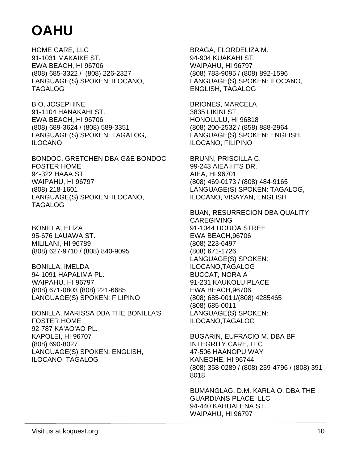HOME CARE, LLC 91-1031 MAKAIKE ST. EWA BEACH, HI 96706 (808) 685-3322 / (808) 226-2327 LANGUAGE(S) SPOKEN: ILOCANO, TAGALOG

BIO, JOSEPHINE 91-1104 HANAKAHI ST. EWA BEACH, HI 96706 (808) 689-3624 / (808) 589-3351 LANGUAGE(S) SPOKEN: TAGALOG, ILOCANO

BONDOC, GRETCHEN DBA G&E BONDOC FOSTER HOME 94-322 HAAA ST WAIPAHU, HI 96797 (808) 218-1601 LANGUAGE(S) SPOKEN: ILOCANO, TAGALOG

BONILLA, ELIZA 95-676 LAUAWA ST. MILILANI, HI 96789 (808) 627-9710 / (808) 840-9095

BONILLA, IMELDA 94-1091 HAPALIMA PL. WAIPAHU, HI 96797 (808) 671-0803 (808) 221-6685 LANGUAGE(S) SPOKEN: FILIPINO

BONILLA, MARISSA DBA THE BONILLA'S FOSTER HOME 92-787 KA'AO'AO PL. KAPOLEI, HI 96707 (808) 690-8027 LANGUAGE(S) SPOKEN: ENGLISH, ILOCANO, TAGALOG

BRAGA, FLORDELIZA M. 94-904 KUAKAHI ST. WAIPAHU, HI 96797 (808) 783-9095 / (808) 892-1596 LANGUAGE(S) SPOKEN: ILOCANO, ENGLISH, TAGALOG

BRIONES, MARCELA 3835 LIKINI ST. HONOLULU, HI 96818 (808) 200-2532 / (858) 888-2964 LANGUAGE(S) SPOKEN: ENGLISH, ILOCANO, FILIPINO

BRUNN, PRISCILLA C. 99-243 AIEA HTS DR. AIEA, HI 96701 (808) 469-0173 / (808) 484-9165 LANGUAGE(S) SPOKEN: TAGALOG, ILOCANO, VISAYAN, ENGLISH

BUAN, RESURRECION DBA QUALITY CAREGIVING 91-1044 UOUOA STREE EWA BEACH,96706 (808) 223-6497 (808) 671-1726 LANGUAGE(S) SPOKEN: ILOCANO,TAGALOG BUCCAT, NORA A 91-231 KAUKOLU PLACE EWA BEACH,96706 (808) 685-0011/(808) 4285465 (808) 685-0011 LANGUAGE(S) SPOKEN: ILOCANO,TAGALOG

BUGARIN, EUFRACIO M. DBA BF INTEGRITY CARE, LLC 47-506 HAANOPU WAY KANEOHE, HI 96744 (808) 358-0289 / (808) 239-4796 / (808) 391- 8018

BUMANGLAG, D.M. KARLA O. DBA THE GUARDIANS PLACE, LLC 94-440 KAHUALENA ST. WAIPAHU, HI 96797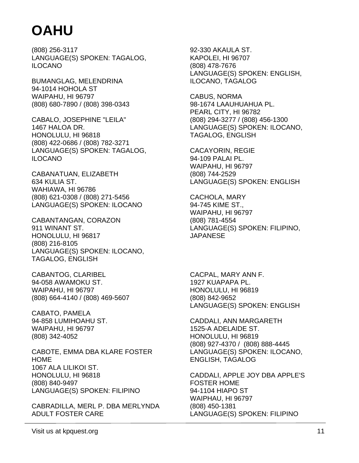(808) 256-3117 LANGUAGE(S) SPOKEN: TAGALOG, ILOCANO

BUMANGLAG, MELENDRINA 94-1014 HOHOLA ST WAIPAHU, HI 96797 (808) 680-7890 / (808) 398-0343

CABALO, JOSEPHINE "LEILA" 1467 HALOA DR. HONOLULU, HI 96818 (808) 422-0686 / (808) 782-3271 LANGUAGE(S) SPOKEN: TAGALOG, ILOCANO

CABANATUAN, ELIZABETH 634 KULIA ST. WAHIAWA, HI 96786 (808) 621-0308 / (808) 271-5456 LANGUAGE(S) SPOKEN: ILOCANO

CABANTANGAN, CORAZON 911 WINANT ST. HONOLULU, HI 96817 (808) 216-8105 LANGUAGE(S) SPOKEN: ILOCANO, TAGALOG, ENGLISH

CABANTOG, CLARIBEL 94-058 AWAMOKU ST. WAIPAHU, HI 96797 (808) 664-4140 / (808) 469-5607

CABATO, PAMELA 94-858 LUMIHOAHU ST. WAIPAHU, HI 96797 (808) 342-4052

CABOTE, EMMA DBA KLARE FOSTER HOME 1067 ALA LILIKOI ST. HONOLULU, HI 96818 (808) 840-9497 LANGUAGE(S) SPOKEN: FILIPINO

CABRADILLA, MERL P. DBA MERLYNDA ADULT FOSTER CARE

92-330 AKAULA ST. KAPOLEI, HI 96707 (808) 478-7676 LANGUAGE(S) SPOKEN: ENGLISH, ILOCANO, TAGALOG

CABUS, NORMA 98-1674 LAAUHUAHUA PL. PEARL CITY, HI 96782 (808) 294-3277 / (808) 456-1300 LANGUAGE(S) SPOKEN: ILOCANO, TAGALOG, ENGLISH

CACAYORIN, REGIE 94-109 PALAI PL. WAIPAHU, HI 96797 (808) 744-2529 LANGUAGE(S) SPOKEN: ENGLISH

CACHOLA, MARY 94-745 KIME ST., WAIPAHU, HI 96797 (808) 781-4554 LANGUAGE(S) SPOKEN: FILIPINO, JAPANESE

CACPAL, MARY ANN F. 1927 KUAPAPA PL. HONOLULU, HI 96819 (808) 842-9652 LANGUAGE(S) SPOKEN: ENGLISH

CADDALI, ANN MARGARETH 1525-A ADELAIDE ST. HONOLULU, HI 96819 (808) 927-4370 / (808) 888-4445 LANGUAGE(S) SPOKEN: ILOCANO, ENGLISH, TAGALOG

CADDALI, APPLE JOY DBA APPLE'S FOSTER HOME 94-1104 HIAPO ST WAIPHAU, HI 96797 (808) 450-1381 LANGUAGE(S) SPOKEN: FILIPINO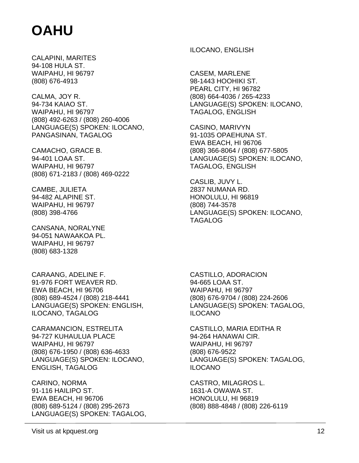CALAPINI, MARITES 94-108 HULA ST. WAIPAHU, HI 96797 (808) 676-4913

CALMA, JOY R. 94-734 KAIAO ST. WAIPAHU, HI 96797 (808) 492-6263 / (808) 260-4006 LANGUAGE(S) SPOKEN: ILOCANO, PANGASINAN, TAGALOG

CAMACHO, GRACE B. 94-401 LOAA ST. WAIPAHU, HI 96797 (808) 671-2183 / (808) 469-0222

CAMBE, JULIETA 94-482 ALAPINE ST. WAIPAHU, HI 96797 (808) 398-4766

CANSANA, NORALYNE 94-051 NAWAAKOA PL. WAIPAHU, HI 96797 (808) 683-1328

CARAANG, ADELINE F. 91-976 FORT WEAVER RD. EWA BEACH, HI 96706 (808) 689-4524 / (808) 218-4441 LANGUAGE(S) SPOKEN: ENGLISH, ILOCANO, TAGALOG

CARAMANCION, ESTRELITA 94-727 KUHAULUA PLACE WAIPAHU, HI 96797 (808) 676-1950 / (808) 636-4633 LANGUAGE(S) SPOKEN: ILOCANO, ENGLISH, TAGALOG

CARINO, NORMA 91-116 HAILIPO ST. EWA BEACH, HI 96706 (808) 689-5124 / (808) 295-2673 LANGUAGE(S) SPOKEN: TAGALOG, ILOCANO, ENGLISH

CASEM, MARLENE 98-1443 HOOHIKI ST. PEARL CITY, HI 96782 (808) 664-4036 / 265-4233 LANGUAGE(S) SPOKEN: ILOCANO, TAGALOG, ENGLISH

CASINO, MARIVYN 91-1035 OPAEHUNA ST. EWA BEACH, HI 96706 (808) 366-8064 / (808) 677-5805 LANGUAGE(S) SPOKEN: ILOCANO, TAGALOG, ENGLISH

CASLIB, JUVY L. 2837 NUMANA RD. HONOLULU, HI 96819 (808) 744-3578 LANGUAGE(S) SPOKEN: ILOCANO, TAGALOG

CASTILLO, ADORACION 94-665 LOAA ST. WAIPAHU, HI 96797 (808) 676-9704 / (808) 224-2606 LANGUAGE(S) SPOKEN: TAGALOG, ILOCANO

CASTILLO, MARIA EDITHA R 94-264 HANAWAI CIR. WAIPAHU, HI 96797 (808) 676-9522 LANGUAGE(S) SPOKEN: TAGALOG, ILOCANO

CASTRO, MILAGROS L. 1631-A OWAWA ST. HONOLULU, HI 96819 (808) 888-4848 / (808) 226-6119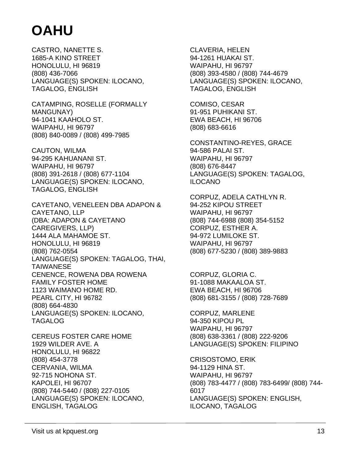CASTRO, NANETTE S. 1685-A KINO STREET HONOLULU, HI 96819 (808) 436-7066 LANGUAGE(S) SPOKEN: ILOCANO, TAGALOG, ENGLISH

CATAMPING, ROSELLE (FORMALLY MANGUNAY) 94-1041 KAAHOLO ST. WAIPAHU, HI 96797 (808) 840-0089 / (808) 499-7985

CAUTON, WILMA 94-295 KAHUANANI ST. WAIPAHU, HI 96797 (808) 391-2618 / (808) 677-1104 LANGUAGE(S) SPOKEN: ILOCANO, TAGALOG, ENGLISH

CAYETANO, VENELEEN DBA ADAPON & CAYETANO, LLP (DBA: ADAPON & CAYETANO CAREGIVERS, LLP) 1444 ALA MAHAMOE ST. HONOLULU, HI 96819 (808) 762-0554 LANGUAGE(S) SPOKEN: TAGALOG, THAI, **TAIWANESE** CENENCE, ROWENA DBA ROWENA FAMILY FOSTER HOME 1123 WAIMANO HOME RD. PEARL CITY, HI 96782 (808) 664-4830 LANGUAGE(S) SPOKEN: ILOCANO, TAGALOG

CEREUS FOSTER CARE HOME 1929 WILDER AVE. A HONOLULU, HI 96822 (808) 454-3778 CERVANIA, WILMA 92-715 NOHONA ST. KAPOLEI, HI 96707 (808) 744-5440 / (808) 227-0105 LANGUAGE(S) SPOKEN: ILOCANO, ENGLISH, TAGALOG

CLAVERIA, HELEN 94-1261 HUAKAI ST. WAIPAHU, HI 96797 (808) 393-4580 / (808) 744-4679 LANGUAGE(S) SPOKEN: ILOCANO, TAGALOG, ENGLISH

COMISO, CESAR 91-951 PUHIKANI ST. EWA BEACH, HI 96706 (808) 683-6616

CONSTANTINO-REYES, GRACE 94-586 PALAI ST. WAIPAHU, HI 96797 (808) 676-8447 LANGUAGE(S) SPOKEN: TAGALOG, ILOCANO

CORPUZ, ADELA CATHLYN R. 94-252 KIPOU STREET WAIPAHU, HI 96797 (808) 744-6988 (808) 354-5152 CORPUZ, ESTHER A. 94-972 LUMILOKE ST. WAIPAHU, HI 96797 (808) 677-5230 / (808) 389-9883

CORPUZ, GLORIA C. 91-1088 MAKAALOA ST. EWA BEACH, HI 96706 (808) 681-3155 / (808) 728-7689

CORPUZ, MARLENE 94-350 KIPOU PL WAIPAHU, HI 96797 (808) 638-3361 / (808) 222-9206 LANGUAGE(S) SPOKEN: FILIPINO

CRISOSTOMO, ERIK 94-1129 HINA ST. WAIPAHU, HI 96797 (808) 783-4477 / (808) 783-6499/ (808) 744- 6017 LANGUAGE(S) SPOKEN: ENGLISH, ILOCANO, TAGALOG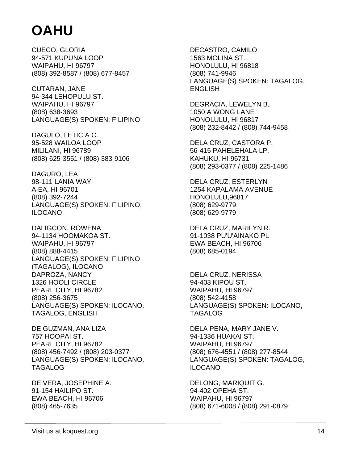CUECO, GLORIA 94-571 KUPUNA LOOP WAIPAHU, HI 96797 (808) 392-8587 / (808) 677-8457

CUTARAN, JANE 94-344 LEHOPULU ST. WAIPAHU, HI 96797 (808) 638-3693 LANGUAGE(S) SPOKEN: FILIPINO

DAGULO, LETICIA C. 95-528 WAILOA LOOP MILILANI, HI 96789 (808) 625-3551 / (808) 383-9106

DAGURO, LEA 98-111 LANIA WAY AIEA, HI 96701 (808) 392-7244 LANGUAGE(S) SPOKEN: FILIPINO, ILOCANO

DALIGCON, ROWENA 94-1134 HOOMAKOA ST. WAIPAHU, HI 96797 (808) 888-4415 LANGUAGE(S) SPOKEN: FILIPINO (TAGALOG), ILOCANO DAPROZA, NANCY 1326 HOOLI CIRCLE PEARL CITY, HI 96782 (808) 256-3675 LANGUAGE(S) SPOKEN: ILOCANO, TAGALOG, ENGLISH

DE GUZMAN, ANA LIZA 757 HOOPAI ST. PEARL CITY, HI 96782 (808) 456-7492 / (808) 203-0377 LANGUAGE(S) SPOKEN: ILOCANO, TAGALOG

DE VERA, JOSEPHINE A. 91-154 HAILIPO ST. EWA BEACH, HI 96706 (808) 465-7635

DECASTRO, CAMILO 1563 MOLINA ST. HONOLULU, HI 96818 (808) 741-9946 LANGUAGE(S) SPOKEN: TAGALOG, **ENGLISH** 

DEGRACIA, LEWELYN B. 1050 A WONG LANE HONOLULU, HI 96817 (808) 232-8442 / (808) 744-9458

DELA CRUZ, CASTORA P. 56-415 PAHELEHALA LP. KAHUKU, HI 96731 (808) 293-0377 / (808) 225-1486

DELA CRUZ, ESTERLYN 1254 KAPALAMA AVENUE HONOLULU,96817 (808) 629-9779 (808) 629-9779

DELA CRUZ, MARILYN R. 91-1038 PU'U'AINAKO PL EWA BEACH, HI 96706 (808) 685-0194

DELA CRUZ, NERISSA 94-403 KIPOU ST. WAIPAHU, HI 96797 (808) 542-4158 LANGUAGE(S) SPOKEN: ILOCANO, TAGALOG

DELA PENA, MARY JANE V. 94-1336 HUAKAI ST. WAIPAHU, HI 96797 (808) 676-4551 / (808) 277-8544 LANGUAGE(S) SPOKEN: TAGALOG, ILOCANO

DELONG, MARIQUIT G. 94-402 OPEHA ST. WAIPAHU, HI 96797 (808) 671-6008 / (808) 291-0879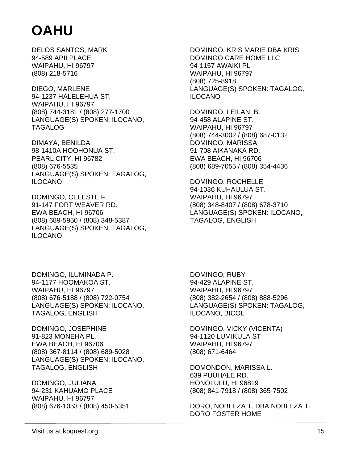DELOS SANTOS, MARK 94-589 APII PLACE WAIPAHU, HI 96797 (808) 218-5716

DIEGO, MARLENE 94-1237 HALELEHUA ST. WAIPAHU, HI 96797 (808) 744-3181 / (808) 277-1700 LANGUAGE(S) SPOKEN: ILOCANO, TAGALOG

DIMAYA, BENILDA 98-1410A HOOHONUA ST. PEARL CITY, HI 96782 (808) 676-5535 LANGUAGE(S) SPOKEN: TAGALOG, ILOCANO

DOMINGO, CELESTE F. 91-147 FORT WEAVER RD. EWA BEACH, HI 96706 (808) 689-5950 / (808) 348-5387 LANGUAGE(S) SPOKEN: TAGALOG, ILOCANO

DOMINGO, KRIS MARIE DBA KRIS DOMINGO CARE HOME LLC 94-1157 AWAIKI PL WAIPAHU, HI 96797 (808) 725-8918 LANGUAGE(S) SPOKEN: TAGALOG, ILOCANO

DOMINGO, LEILANI B. 94-458 ALAPINE ST. WAIPAHU, HI 96797 (808) 744-3002 / (808) 687-0132 DOMINGO, MARISSA 91-708 AIKANAKA RD. EWA BEACH, HI 96706 (808) 689-7055 / (808) 354-4436

DOMINGO, ROCHELLE 94-1036 KUHAULUA ST. WAIPAHU, HI 96797 (808) 348-8407 / (808) 678-3710 LANGUAGE(S) SPOKEN: ILOCANO, TAGALOG, ENGLISH

DOMINGO, ILUMINADA P. 94-1177 HOOMAKOA ST. WAIPAHU, HI 96797 (808) 676-5188 / (808) 722-0754 LANGUAGE(S) SPOKEN: ILOCANO, TAGALOG, ENGLISH

DOMINGO, JOSEPHINE 91-823 MONEHA PL. EWA BEACH, HI 96706 (808) 367-8114 / (808) 689-5028 LANGUAGE(S) SPOKEN: ILOCANO, TAGALOG, ENGLISH

DOMINGO, JULIANA 94-231 KAHUAMO PLACE WAIPAHU, HI 96797 (808) 676-1053 / (808) 450-5351

DOMINGO, RUBY 94-429 ALAPINE ST. WAIPAHU, HI 96797 (808) 382-2654 / (808) 888-5296 LANGUAGE(S) SPOKEN: TAGALOG, ILOCANO, BICOL

DOMINGO, VICKY (VICENTA) 94-1120 LUMIKULA ST WAIPAHU, HI 96797 (808) 671-6464

DOMONDON, MARISSA L. 639 PUUHALE RD. HONOLULU, HI 96819 (808) 841-7918 / (808) 365-7502

DORO, NOBLEZA T. DBA NOBLEZA T. DORO FOSTER HOME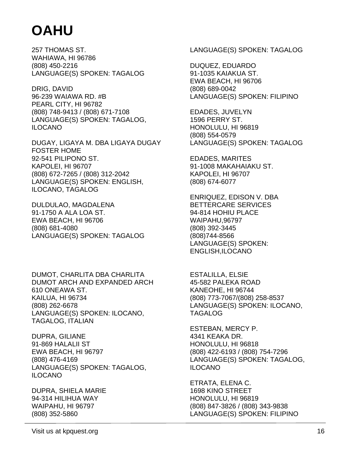257 THOMAS ST. WAHIAWA, HI 96786 (808) 450-2216 LANGUAGE(S) SPOKEN: TAGALOG

DRIG, DAVID 96-239 WAIAWA RD. #B PEARL CITY, HI 96782 (808) 748-9413 / (808) 671-7108 LANGUAGE(S) SPOKEN: TAGALOG, ILOCANO

DUGAY, LIGAYA M. DBA LIGAYA DUGAY FOSTER HOME 92-541 PILIPONO ST. KAPOLEI, HI 96707 (808) 672-7265 / (808) 312-2042 LANGUAGE(S) SPOKEN: ENGLISH, ILOCANO, TAGALOG

DULDULAO, MAGDALENA 91-1750 A ALA LOA ST. EWA BEACH, HI 96706 (808) 681-4080 LANGUAGE(S) SPOKEN: TAGALOG

DUMOT, CHARLITA DBA CHARLITA DUMOT ARCH AND EXPANDED ARCH 610 ONEAWA ST. KAILUA, HI 96734 (808) 262-6678 LANGUAGE(S) SPOKEN: ILOCANO, TAGALOG, ITALIAN

DUPRA, GILIANE 91-869 HALALII ST EWA BEACH, HI 96797 (808) 476-4169 LANGUAGE(S) SPOKEN: TAGALOG, ILOCANO

DUPRA, SHIELA MARIE 94-314 HILIHUA WAY WAIPAHU, HI 96797 (808) 352-5860

LANGUAGE(S) SPOKEN: TAGALOG

DUQUEZ, EDUARDO 91-1035 KAIAKUA ST. EWA BEACH, HI 96706 (808) 689-0042 LANGUAGE(S) SPOKEN: FILIPINO

EDADES, JUVELYN 1596 PERRY ST. HONOLULU, HI 96819 (808) 554-0579 LANGUAGE(S) SPOKEN: TAGALOG

EDADES, MARITES 91-1008 MAKAHAIAKU ST. KAPOLEI, HI 96707 (808) 674-6077

ENRIQUEZ, EDISON V. DBA BETTERCARE SERVICES 94-814 HOHIU PLACE WAIPAHU,96797 (808) 392-3445 (808)744-8566 LANGUAGE(S) SPOKEN: ENGLISH,ILOCANO

ESTALILLA, ELSIE 45-582 PALEKA ROAD KANEOHE, HI 96744 (808) 773-7067/(808) 258-8537 LANGUAGE(S) SPOKEN: ILOCANO, TAGALOG

ESTEBAN, MERCY P. 4341 KEAKA DR. HONOLULU, HI 96818 (808) 422-6193 / (808) 754-7296 LANGUAGE(S) SPOKEN: TAGALOG, ILOCANO

ETRATA, ELENA C. 1698 KINO STREET HONOLULU, HI 96819 (808) 847-3826 / (808) 343-9838 LANGUAGE(S) SPOKEN: FILIPINO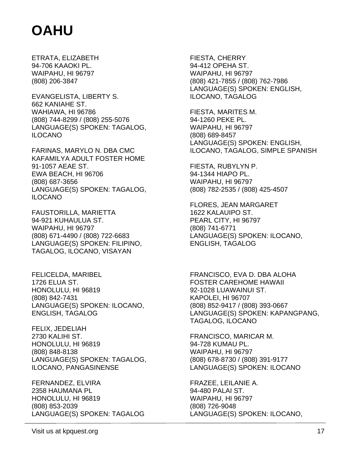ETRATA, ELIZABETH 94-706 KAAOKI PL. WAIPAHU, HI 96797 (808) 206-3847

EVANGELISTA, LIBERTY S. 662 KANIAHE ST. WAHIAWA, HI 96786 (808) 744-8299 / (808) 255-5076 LANGUAGE(S) SPOKEN: TAGALOG, ILOCANO

FARINAS, MARYLO N. DBA CMC KAFAMILYA ADULT FOSTER HOME 91-1057 AEAE ST. EWA BEACH, HI 96706 (808) 687-3656 LANGUAGE(S) SPOKEN: TAGALOG, ILOCANO

FAUSTORILLA, MARIETTA 94-921 KUHAULUA ST. WAIPAHU, HI 96797 (808) 671-4490 / (808) 722-6683 LANGUAGE(S) SPOKEN: FILIPINO, TAGALOG, ILOCANO, VISAYAN

FELICELDA, MARIBEL 1726 ELUA ST. HONOLULU, HI 96819 (808) 842-7431 LANGUAGE(S) SPOKEN: ILOCANO, ENGLISH, TAGALOG

FELIX, JEDELIAH 2730 KALIHI ST. HONOLULU, HI 96819 (808) 848-8138 LANGUAGE(S) SPOKEN: TAGALOG, ILOCANO, PANGASINENSE

FERNANDEZ, ELVIRA 2358 HAUMANA PL HONOLULU, HI 96819 (808) 853-2039 LANGUAGE(S) SPOKEN: TAGALOG

FIESTA, CHERRY 94-412 OPEHA ST. WAIPAHU, HI 96797 (808) 421-7855 / (808) 762-7986 LANGUAGE(S) SPOKEN: ENGLISH, ILOCANO, TAGALOG

FIESTA, MARITES M. 94-1260 PEKE PL. WAIPAHU, HI 96797 (808) 689-8457 LANGUAGE(S) SPOKEN: ENGLISH, ILOCANO, TAGALOG, SIMPLE SPANISH

FIESTA, RUBYLYN P. 94-1344 HIAPO PL. WAIPAHU, HI 96797 (808) 782-2535 / (808) 425-4507

FLORES, JEAN MARGARET 1622 KALAUIPO ST. PEARL CITY, HI 96797 (808) 741-6771 LANGUAGE(S) SPOKEN: ILOCANO, ENGLISH, TAGALOG

FRANCISCO, EVA D. DBA ALOHA FOSTER CAREHOME HAWAII 92-1028 LUAWAINUI ST. KAPOLEI, HI 96707 (808) 852-9417 / (808) 393-0667 LANGUAGE(S) SPOKEN: KAPANGPANG, TAGALOG, ILOCANO

FRANCISCO, MARICAR M. 94-728 KUMAU PL. WAIPAHU, HI 96797 (808) 678-8730 / (808) 391-9177 LANGUAGE(S) SPOKEN: ILOCANO

FRAZEE, LEILANIE A. 94-480 PALAI ST. WAIPAHU, HI 96797 (808) 726-9048 LANGUAGE(S) SPOKEN: ILOCANO,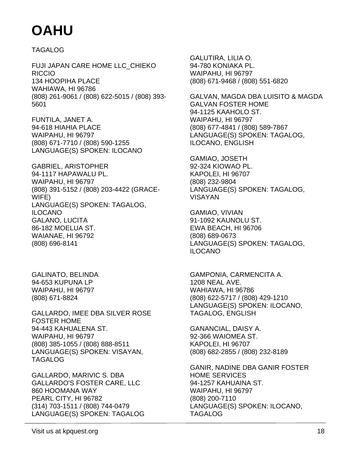TAGALOG

FUJI JAPAN CARE HOME LLC\_CHIEKO RICCIO 134 HOOPIHA PLACE WAHIAWA, HI 96786 (808) 261-9061 / (808) 622-5015 / (808) 393- 5601

FUNTILA, JANET A. 94-618 HIAHIA PLACE WAIPAHU, HI 96797 (808) 671-7710 / (808) 590-1255 LANGUAGE(S) SPOKEN: ILOCANO

GABRIEL, ARISTOPHER 94-1117 HAPAWALU PL. WAIPAHU, HI 96797 (808) 391-5152 / (808) 203-4422 (GRACE-WIFE) LANGUAGE(S) SPOKEN: TAGALOG, ILOCANO GALANO, LUCITA 86-182 MOELUA ST. WAIANAE, HI 96792 (808) 696-8141

GALINATO, BELINDA 94-653 KUPUNA LP WAIPAHU, HI 96797 (808) 671-8824

GALLARDO, IMEE DBA SILVER ROSE FOSTER HOME 94-443 KAHUALENA ST. WAIPAHU, HI 96797 (808) 385-1055 / (808) 888-8511 LANGUAGE(S) SPOKEN: VISAYAN, TAGALOG

GALLARDO, MARIVIC S. DBA GALLARDO'S FOSTER CARE, LLC 860 HOOMANA WAY PEARL CITY, HI 96782 (314) 703-1511 / (808) 744-0479 LANGUAGE(S) SPOKEN: TAGALOG

GALUTIRA, LILIA O. 94-780 KONIAKA PL. WAIPAHU, HI 96797 (808) 671-9468 / (808) 551-6820

GALVAN, MAGDA DBA LUISITO & MAGDA GALVAN FOSTER HOME 94-1125 KAAHOLO ST. WAIPAHU, HI 96797 (808) 677-4841 / (808) 589-7867 LANGUAGE(S) SPOKEN: TAGALOG, ILOCANO, ENGLISH

GAMIAO, JOSETH 92-324 KIOWAO PL. KAPOLEI, HI 96707 (808) 232-9804 LANGUAGE(S) SPOKEN: TAGALOG, VISAYAN

GAMIAO, VIVIAN 91-1092 KAUNOLU ST. EWA BEACH, HI 96706 (808) 689-0673 LANGUAGE(S) SPOKEN: TAGALOG, ILOCANO

GAMPONIA, CARMENCITA A. 1208 NEAL AVE. WAHIAWA, HI 96786 (808) 622-5717 / (808) 429-1210 LANGUAGE(S) SPOKEN: ILOCANO, TAGALOG, ENGLISH

GANANCIAL, DAISY A. 92-366 WAIOMEA ST. KAPOLEI, HI 96707 (808) 682-2855 / (808) 232-8189

GANIR, NADINE DBA GANIR FOSTER HOME SERVICES 94-1257 KAHUAINA ST. WAIPAHU, HI 96797 (808) 200-7110 LANGUAGE(S) SPOKEN: ILOCANO, TAGALOG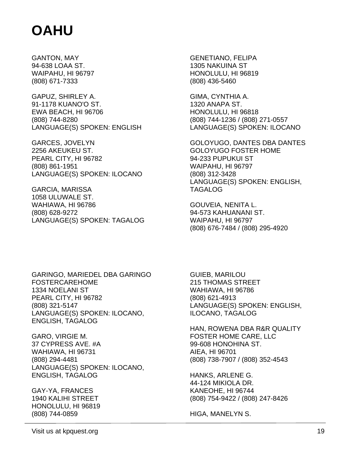GANTON, MAY 94-638 LOAA ST. WAIPAHU, HI 96797 (808) 671-7333

GAPUZ, SHIRLEY A. 91-1178 KUANO'O ST. EWA BEACH, HI 96706 (808) 744-8280 LANGUAGE(S) SPOKEN: ENGLISH

GARCES, JOVELYN 2256 AKEUKEU ST. PEARL CITY, HI 96782 (808) 861-1951 LANGUAGE(S) SPOKEN: ILOCANO

GARCIA, MARISSA 1058 ULUWALE ST. WAHIAWA, HI 96786 (808) 628-9272 LANGUAGE(S) SPOKEN: TAGALOG GENETIANO, FELIPA 1305 NAKUINA ST HONOLULU, HI 96819 (808) 436-5460

GIMA, CYNTHIA A. 1320 ANAPA ST. HONOLULU, HI 96818 (808) 744-1236 / (808) 271-0557 LANGUAGE(S) SPOKEN: ILOCANO

GOLOYUGO, DANTES DBA DANTES GOLOYUGO FOSTER HOME 94-233 PUPUKUI ST WAIPAHU, HI 96797 (808) 312-3428 LANGUAGE(S) SPOKEN: ENGLISH, TAGALOG

GOUVEIA, NENITA L. 94-573 KAHUANANI ST. WAIPAHU, HI 96797 (808) 676-7484 / (808) 295-4920

GARINGO, MARIEDEL DBA GARINGO FOSTERCAREHOME 1334 NOELANI ST PEARL CITY, HI 96782 (808) 321-5147 LANGUAGE(S) SPOKEN: ILOCANO, ENGLISH, TAGALOG

GARO, VIRGIE M. 37 CYPRESS AVE. #A WAHIAWA, HI 96731 (808) 294-4481 LANGUAGE(S) SPOKEN: ILOCANO, ENGLISH, TAGALOG

GAY-YA, FRANCES 1940 KALIHI STREET HONOLULU, HI 96819 (808) 744-0859

GUIEB, MARILOU 215 THOMAS STREET WAHIAWA, HI 96786 (808) 621-4913 LANGUAGE(S) SPOKEN: ENGLISH, ILOCANO, TAGALOG

HAN, ROWENA DBA R&R QUALITY FOSTER HOME CARE, LLC 99-608 HONOHINA ST. AIEA, HI 96701 (808) 738-7907 / (808) 352-4543

HANKS, ARLENE G. 44-124 MIKIOLA DR. KANEOHE, HI 96744 (808) 754-9422 / (808) 247-8426

HIGA, MANELYN S.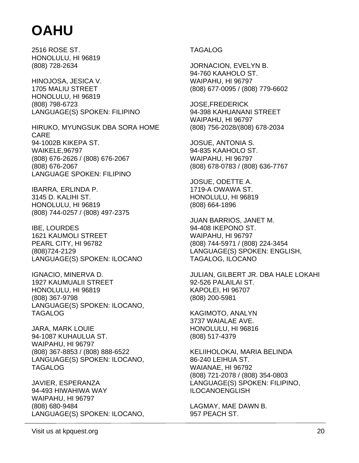2516 ROSE ST. HONOLULU, HI 96819 (808) 728-2634

HINOJOSA, JESICA V. 1705 MALIU STREET HONOLULU, HI 96819 (808) 798-6723 LANGUAGE(S) SPOKEN: FILIPINO

HIRUKO, MYUNGSUK DBA SORA HOME CARE 94-1002B KIKEPA ST. WAIKELE,96797 (808) 676-2626 / (808) 676-2067 (808) 676-2067 LANGUAGE SPOKEN: FILIPINO

IBARRA, ERLINDA P. 3145 D. KALIHI ST. HONOLULU, HI 96819 (808) 744-0257 / (808) 497-2375

IBE, LOURDES 1621 KAUMOLI STREET PEARL CITY, HI 96782 (808)724-2129 LANGUAGE(S) SPOKEN: ILOCANO

IGNACIO, MINERVA D. 1927 KAUMUALII STREET HONOLULU, HI 96819 (808) 367-9798 LANGUAGE(S) SPOKEN: ILOCANO, TAGALOG

JARA, MARK LOUIE 94-1087 KUHAULUA ST. WAIPAHU, HI 96797 (808) 367-8853 / (808) 888-6522 LANGUAGE(S) SPOKEN: ILOCANO, TAGALOG

JAVIER, ESPERANZA 94-493 HIWAHIWA WAY WAIPAHU, HI 96797 (808) 680-9484 LANGUAGE(S) SPOKEN: ILOCANO,

#### TAGALOG

JORNACION, EVELYN B. 94-760 KAAHOLO ST. WAIPAHU, HI 96797 (808) 677-0095 / (808) 779-6602

JOSE,FREDERICK 94-398 KAHUANANI STREET WAIPAHU, HI 96797 (808) 756-2028/(808) 678-2034

JOSUE, ANTONIA S. 94-835 KAAHOLO ST. WAIPAHU, HI 96797 (808) 678-0783 / (808) 636-7767

JOSUE, ODETTE A. 1719-A OWAWA ST. HONOLULU, HI 96819 (808) 664-1896

JUAN BARRIOS, JANET M. 94-408 IKEPONO ST. WAIPAHU, HI 96797 (808) 744-5971 / (808) 224-3454 LANGUAGE(S) SPOKEN: ENGLISH, TAGALOG, ILOCANO

JULIAN, GILBERT JR. DBA HALE LOKAHI 92-526 PALAILAI ST. KAPOLEI, HI 96707 (808) 200-5981

KAGIMOTO, ANALYN 3737 WAIALAE AVE. HONOLULU, HI 96816 (808) 517-4379

KELIIHOLOKAI, MARIA BELINDA 86-240 LEIHUA ST. WAIANAE, HI 96792 (808) 721-2078 / (808) 354-0803 LANGUAGE(S) SPOKEN: FILIPINO, ILOCANOENGLISH

LAGMAY, MAE DAWN B. 957 PEACH ST.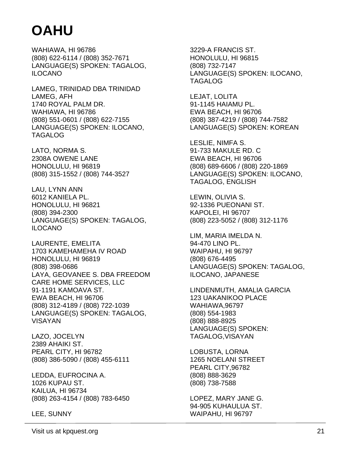WAHIAWA, HI 96786 (808) 622-6114 / (808) 352-7671 LANGUAGE(S) SPOKEN: TAGALOG, ILOCANO

LAMEG, TRINIDAD DBA TRINIDAD LAMEG, AFH 1740 ROYAL PALM DR. WAHIAWA, HI 96786 (808) 551-0601 / (808) 622-7155 LANGUAGE(S) SPOKEN: ILOCANO, TAGALOG

LATO, NORMA S. 2308A OWENE LANE HONOLULU, HI 96819 (808) 315-1552 / (808) 744-3527

LAU, LYNN ANN 6012 KANIELA PL. HONOLULU, HI 96821 (808) 394-2300 LANGUAGE(S) SPOKEN: TAGALOG, ILOCANO

LAURENTE, EMELITA 1703 KAMEHAMEHA IV ROAD HONOLULU, HI 96819 (808) 398-0686 LAYA, GEOVANEE S. DBA FREEDOM CARE HOME SERVICES, LLC 91-1191 KAMOAVA ST. EWA BEACH, HI 96706 (808) 312-4189 / (808) 722-1039 LANGUAGE(S) SPOKEN: TAGALOG, VISAYAN

LAZO, JOCELYN 2389 AHAIKI ST. PEARL CITY, HI 96782 (808) 386-5090 / (808) 455-6111

LEDDA, EUFROCINA A. 1026 KUPAU ST. KAILUA, HI 96734 (808) 263-4154 / (808) 783-6450

LEE, SUNNY

3229-A FRANCIS ST. HONOLULU, HI 96815 (808) 732-7147 LANGUAGE(S) SPOKEN: ILOCANO, TAGALOG

LEJAT, LOLITA 91-1145 HAIAMU PL. EWA BEACH, HI 96706 (808) 387-4219 / (808) 744-7582 LANGUAGE(S) SPOKEN: KOREAN

LESLIE, NIMFA S. 91-733 MAKULE RD. C EWA BEACH, HI 96706 (808) 689-6606 / (808) 220-1869 LANGUAGE(S) SPOKEN: ILOCANO, TAGALOG, ENGLISH

LEWIN, OLIVIA S. 92-1336 PUEONANI ST. KAPOLEI, HI 96707 (808) 223-5052 / (808) 312-1176

LIM, MARIA IMELDA N. 94-470 LINO PL. WAIPAHU, HI 96797 (808) 676-4495 LANGUAGE(S) SPOKEN: TAGALOG, ILOCANO, JAPANESE

LINDENMUTH, AMALIA GARCIA 123 UAKANIKOO PLACE WAHIAWA,96797 (808) 554-1983 (808) 888-8925 LANGUAGE(S) SPOKEN: TAGALOG,VISAYAN

LOBUSTA, LORNA 1265 NOELANI STREET PEARL CITY,96782 (808) 888-3629 (808) 738-7588

LOPEZ, MARY JANE G. 94-905 KUHAULUA ST. WAIPAHU, HI 96797

Visit us at kpquest.org 21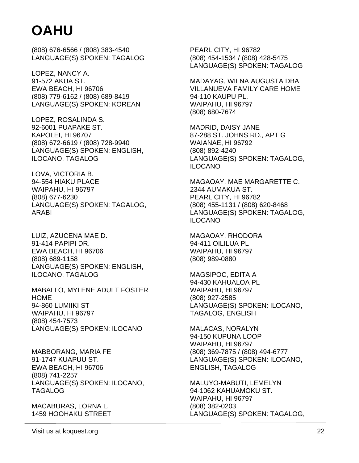(808) 676-6566 / (808) 383-4540 LANGUAGE(S) SPOKEN: TAGALOG

LOPEZ, NANCY A. 91-572 AKUA ST. EWA BEACH, HI 96706 (808) 779-6162 / (808) 689-8419 LANGUAGE(S) SPOKEN: KOREAN

LOPEZ, ROSALINDA S. 92-6001 PUAPAKE ST. KAPOLEI, HI 96707 (808) 672-6619 / (808) 728-9940 LANGUAGE(S) SPOKEN: ENGLISH, ILOCANO, TAGALOG

LOVA, VICTORIA B. 94-554 HIAKU PLACE WAIPAHU, HI 96797 (808) 677-6230 LANGUAGE(S) SPOKEN: TAGALOG, ARABI

LUIZ, AZUCENA MAE D. 91-414 PAPIPI DR. EWA BEACH, HI 96706 (808) 689-1158 LANGUAGE(S) SPOKEN: ENGLISH, ILOCANO, TAGALOG

MABALLO, MYLENE ADULT FOSTER HOME 94-860 LUMIIKI ST WAIPAHU, HI 96797 (808) 454-7573 LANGUAGE(S) SPOKEN: ILOCANO

MABBORANG, MARIA FE 91-1747 KUAPUU ST. EWA BEACH, HI 96706 (808) 741-2257 LANGUAGE(S) SPOKEN: ILOCANO, TAGALOG

MACABURAS, LORNA L. 1459 HOOHAKU STREET

PEARL CITY, HI 96782 (808) 454-1534 / (808) 428-5475 LANGUAGE(S) SPOKEN: TAGALOG

MADAYAG, WILNA AUGUSTA DBA VILLANUEVA FAMILY CARE HOME 94-110 KAUPU PL. WAIPAHU, HI 96797 (808) 680-7674

MADRID, DAISY JANE 87-288 ST. JOHNS RD., APT G WAIANAE, HI 96792 (808) 892-4240 LANGUAGE(S) SPOKEN: TAGALOG, ILOCANO

MAGAOAY, MAE MARGARETTE C. 2344 AUMAKUA ST. PEARL CITY, HI 96782 (808) 455-1131 / (808) 620-8468 LANGUAGE(S) SPOKEN: TAGALOG, ILOCANO

MAGAOAY, RHODORA 94-411 OILILUA PL WAIPAHU, HI 96797 (808) 989-0880

MAGSIPOC, EDITA A 94-430 KAHUALOA PL WAIPAHU, HI 96797 (808) 927-2585 LANGUAGE(S) SPOKEN: ILOCANO, TAGALOG, ENGLISH

MALACAS, NORALYN 94-150 KUPUNA LOOP WAIPAHU, HI 96797 (808) 369-7875 / (808) 494-6777 LANGUAGE(S) SPOKEN: ILOCANO, ENGLISH, TAGALOG

MALUYO-MABUTI, LEMELYN 94-1062 KAHUAMOKU ST. WAIPAHU, HI 96797 (808) 382-0203 LANGUAGE(S) SPOKEN: TAGALOG,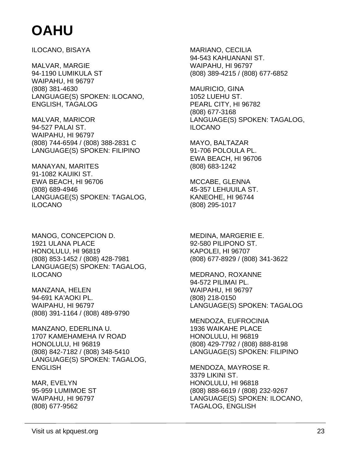ILOCANO, BISAYA

MALVAR, MARGIE 94-1190 LUMIKULA ST WAIPAHU, HI 96797 (808) 381-4630 LANGUAGE(S) SPOKEN: ILOCANO, ENGLISH, TAGALOG

MALVAR, MARICOR 94-527 PALAI ST. WAIPAHU, HI 96797 (808) 744-6594 / (808) 388-2831 C LANGUAGE(S) SPOKEN: FILIPINO

MANAYAN, MARITES 91-1082 KAUIKI ST. EWA BEACH, HI 96706 (808) 689-4946 LANGUAGE(S) SPOKEN: TAGALOG, ILOCANO

MANOG, CONCEPCION D. 1921 ULANA PLACE HONOLULU, HI 96819 (808) 853-1452 / (808) 428-7981 LANGUAGE(S) SPOKEN: TAGALOG, ILOCANO

MANZANA, HELEN 94-691 KA'AOKI PL. WAIPAHU, HI 96797 (808) 391-1164 / (808) 489-9790

MANZANO, EDERLINA U. 1707 KAMEHAMEHA IV ROAD HONOLULU, HI 96819 (808) 842-7182 / (808) 348-5410 LANGUAGE(S) SPOKEN: TAGALOG, **ENGLISH** 

MAR, EVELYN 95-959 LUMIMOE ST WAIPAHU, HI 96797 (808) 677-9562

MARIANO, CECILIA 94-543 KAHUANANI ST. WAIPAHU, HI 96797 (808) 389-4215 / (808) 677-6852

MAURICIO, GINA 1052 LUEHU ST. PEARL CITY, HI 96782 (808) 677-3168 LANGUAGE(S) SPOKEN: TAGALOG, ILOCANO

MAYO, BALTAZAR 91-706 POLOULA PL. EWA BEACH, HI 96706 (808) 683-1242

MCCABE, GLENNA 45-357 LEHUUILA ST. KANEOHE, HI 96744 (808) 295-1017

MEDINA, MARGERIE E. 92-580 PILIPONO ST. KAPOLEI, HI 96707 (808) 677-8929 / (808) 341-3622

MEDRANO, ROXANNE 94-572 PILIMAI PL. WAIPAHU, HI 96797 (808) 218-0150 LANGUAGE(S) SPOKEN: TAGALOG

MENDOZA, EUFROCINIA 1936 WAIKAHE PLACE HONOLULU, HI 96819 (808) 429-7792 / (808) 888-8198 LANGUAGE(S) SPOKEN: FILIPINO

MENDOZA, MAYROSE R. 3379 LIKINI ST. HONOLULU, HI 96818 (808) 888-6619 / (808) 232-9267 LANGUAGE(S) SPOKEN: ILOCANO, TAGALOG, ENGLISH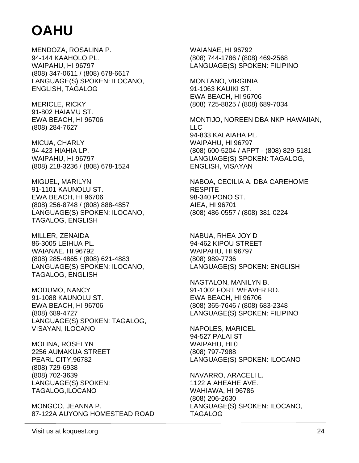MENDOZA, ROSALINA P. 94-144 KAAHOLO PL. WAIPAHU, HI 96797 (808) 347-0611 / (808) 678-6617 LANGUAGE(S) SPOKEN: ILOCANO, ENGLISH, TAGALOG

MERICLE, RICKY 91-802 HAIAMU ST. EWA BEACH, HI 96706 (808) 284-7627

MICUA, CHARLY 94-423 HIAHIA LP. WAIPAHU, HI 96797 (808) 218-3236 / (808) 678-1524

MIGUEL, MARILYN 91-1101 KAUNOLU ST. EWA BEACH, HI 96706 (808) 256-8748 / (808) 888-4857 LANGUAGE(S) SPOKEN: ILOCANO, TAGALOG, ENGLISH

MILLER, ZENAIDA 86-3005 LEIHUA PL. WAIANAE, HI 96792 (808) 285-4865 / (808) 621-4883 LANGUAGE(S) SPOKEN: ILOCANO, TAGALOG, ENGLISH

MODUMO, NANCY 91-1088 KAUNOLU ST. EWA BEACH, HI 96706 (808) 689-4727 LANGUAGE(S) SPOKEN: TAGALOG, VISAYAN, ILOCANO

MOLINA, ROSELYN 2256 AUMAKUA STREET PEARL CITY,96782 (808) 729-6938 (808) 702-3639 LANGUAGE(S) SPOKEN: TAGALOG,ILOCANO

MONGCO, JEANNA P. 87-122A AUYONG HOMESTEAD ROAD WAIANAE, HI 96792 (808) 744-1786 / (808) 469-2568 LANGUAGE(S) SPOKEN: FILIPINO

MONTANO, VIRGINIA 91-1063 KAUIKI ST. EWA BEACH, HI 96706 (808) 725-8825 / (808) 689-7034

MONTIJO, NOREEN DBA NKP HAWAIIAN, LLC 94-833 KALAIAHA PL. WAIPAHU, HI 96797 (808) 600-5204 / APPT - (808) 829-5181 LANGUAGE(S) SPOKEN: TAGALOG, ENGLISH, VISAYAN

NABOA, CECILIA A. DBA CAREHOME **RESPITE** 98-340 PONO ST. AIEA, HI 96701 (808) 486-0557 / (808) 381-0224

NABUA, RHEA JOY D 94-462 KIPOU STREET WAIPAHU, HI 96797 (808) 989-7736 LANGUAGE(S) SPOKEN: ENGLISH

NAGTALON, MANILYN B. 91-1002 FORT WEAVER RD. EWA BEACH, HI 96706 (808) 365-7646 / (808) 683-2348 LANGUAGE(S) SPOKEN: FILIPINO

NAPOLES, MARICEL 94-527 PALAI ST WAIPAHU, HI 0 (808) 797-7988 LANGUAGE(S) SPOKEN: ILOCANO

NAVARRO, ARACELI L. 1122 A AHEAHE AVE. WAHIAWA, HI 96786 (808) 206-2630 LANGUAGE(S) SPOKEN: ILOCANO, TAGALOG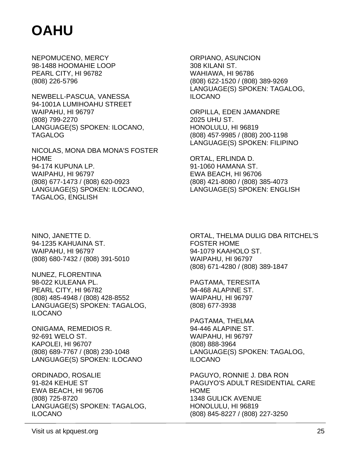NEPOMUCENO, MERCY 98-1488 HOOMAHIE LOOP PEARL CITY, HI 96782 (808) 226-5796

NEWBELL-PASCUA, VANESSA 94-1001A LUMIHOAHU STREET WAIPAHU, HI 96797 (808) 799-2270 LANGUAGE(S) SPOKEN: ILOCANO, TAGALOG

NICOLAS, MONA DBA MONA'S FOSTER **HOME** 94-174 KUPUNA LP. WAIPAHU, HI 96797 (808) 677-1473 / (808) 620-0923 LANGUAGE(S) SPOKEN: ILOCANO, TAGALOG, ENGLISH

ORPIANO, ASUNCION 308 KILANI ST. WAHIAWA, HI 96786 (808) 622-1520 / (808) 389-9269 LANGUAGE(S) SPOKEN: TAGALOG, ILOCANO

ORPILLA, EDEN JAMANDRE 2025 UHU ST. HONOLULU, HI 96819 (808) 457-9985 / (808) 200-1198 LANGUAGE(S) SPOKEN: FILIPINO

ORTAL, ERLINDA D. 91-1060 HAMANA ST. EWA BEACH, HI 96706 (808) 421-8080 / (808) 385-4073 LANGUAGE(S) SPOKEN: ENGLISH

NINO, JANETTE D. 94-1235 KAHUAINA ST. WAIPAHU, HI 96797 (808) 680-7432 / (808) 391-5010

NUNEZ, FLORENTINA 98-022 KULEANA PL. PEARL CITY, HI 96782 (808) 485-4948 / (808) 428-8552 LANGUAGE(S) SPOKEN: TAGALOG, ILOCANO

ONIGAMA, REMEDIOS R. 92-691 WELO ST. KAPOLEI, HI 96707 (808) 689-7767 / (808) 230-1048 LANGUAGE(S) SPOKEN: ILOCANO

ORDINADO, ROSALIE 91-824 KEHUE ST EWA BEACH, HI 96706 (808) 725-8720 LANGUAGE(S) SPOKEN: TAGALOG, ILOCANO

ORTAL, THELMA DULIG DBA RITCHEL'S FOSTER HOME 94-1079 KAAHOLO ST. WAIPAHU, HI 96797 (808) 671-4280 / (808) 389-1847

PAGTAMA, TERESITA 94-468 ALAPINE ST. WAIPAHU, HI 96797 (808) 677-3938

PAGTAMA, THELMA 94-446 ALAPINE ST. WAIPAHU, HI 96797 (808) 888-3964 LANGUAGE(S) SPOKEN: TAGALOG, ILOCANO

PAGUYO, RONNIE J. DBA RON PAGUYO'S ADULT RESIDENTIAL CARE HOME 1348 GULICK AVENUE HONOLULU, HI 96819 (808) 845-8227 / (808) 227-3250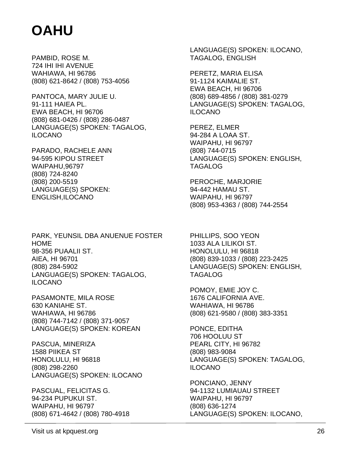PAMBID, ROSE M. 724 IHI IHI AVENUE WAHIAWA, HI 96786 (808) 621-8642 / (808) 753-4056

PANTOCA, MARY JULIE U. 91-111 HAIEA PL. EWA BEACH, HI 96706 (808) 681-0426 / (808) 286-0487 LANGUAGE(S) SPOKEN: TAGALOG, ILOCANO

PARADO, RACHELE ANN 94-595 KIPOU STREET WAIPAHU,96797 (808) 724-8240 (808) 200-5519 LANGUAGE(S) SPOKEN: ENGLISH,ILOCANO

PARK, YEUNSIL DBA ANUENUE FOSTER HOME 98-356 PUAALII ST. AIEA, HI 96701 (808) 284-5902 LANGUAGE(S) SPOKEN: TAGALOG, ILOCANO

PASAMONTE, MILA ROSE 630 KANIAHE ST. WAHIAWA, HI 96786 (808) 744-7142 / (808) 371-9057 LANGUAGE(S) SPOKEN: KOREAN

PASCUA, MINERIZA 1588 PIIKEA ST HONOLULU, HI 96818 (808) 298-2260 LANGUAGE(S) SPOKEN: ILOCANO

PASCUAL, FELICITAS G. 94-234 PUPUKUI ST. WAIPAHU, HI 96797 (808) 671-4642 / (808) 780-4918

LANGUAGE(S) SPOKEN: ILOCANO, TAGALOG, ENGLISH

PERETZ, MARIA ELISA 91-1124 KAIMALIE ST. EWA BEACH, HI 96706 (808) 689-4856 / (808) 381-0279 LANGUAGE(S) SPOKEN: TAGALOG, ILOCANO

PEREZ, ELMER 94-284 A LOAA ST. WAIPAHU, HI 96797 (808) 744-0715 LANGUAGE(S) SPOKEN: ENGLISH, TAGALOG

PEROCHE, MARJORIE 94-442 HAMAU ST. WAIPAHU, HI 96797 (808) 953-4363 / (808) 744-2554

PHILLIPS, SOO YEON 1033 ALA LILIKOI ST. HONOLULU, HI 96818 (808) 839-1033 / (808) 223-2425 LANGUAGE(S) SPOKEN: ENGLISH, TAGALOG

POMOY, EMIE JOY C. 1676 CALIFORNIA AVE. WAHIAWA, HI 96786 (808) 621-9580 / (808) 383-3351

PONCE, EDITHA 706 HOOLUU ST PEARL CITY, HI 96782 (808) 983-9084 LANGUAGE(S) SPOKEN: TAGALOG, ILOCANO

PONCIANO, JENNY 94-1132 LUMIAUAU STREET WAIPAHU, HI 96797 (808) 636-1274 LANGUAGE(S) SPOKEN: ILOCANO,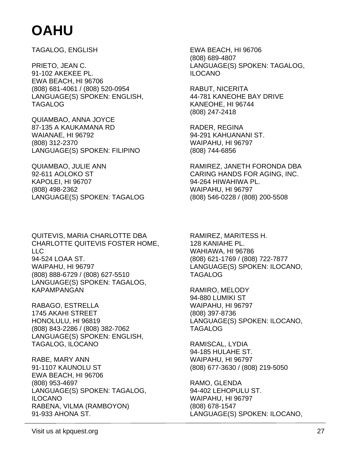TAGALOG, ENGLISH

PRIETO, JEAN C. 91-102 AKEKEE PL. EWA BEACH, HI 96706 (808) 681-4061 / (808) 520-0954 LANGUAGE(S) SPOKEN: ENGLISH, TAGALOG

QUIAMBAO, ANNA JOYCE 87-135 A KAUKAMANA RD WAIANAE, HI 96792 (808) 312-2370 LANGUAGE(S) SPOKEN: FILIPINO

QUIAMBAO, JULIE ANN 92-611 AOLOKO ST KAPOLEI, HI 96707 (808) 498-2362 LANGUAGE(S) SPOKEN: TAGALOG

QUITEVIS, MARIA CHARLOTTE DBA CHARLOTTE QUITEVIS FOSTER HOME, LLC 94-524 LOAA ST. WAIPAHU, HI 96797 (808) 888-6729 / (808) 627-5510 LANGUAGE(S) SPOKEN: TAGALOG, KAPAMPANGAN

RABAGO, ESTRELLA 1745 AKAHI STREET HONOLULU, HI 96819 (808) 843-2286 / (808) 382-7062 LANGUAGE(S) SPOKEN: ENGLISH, TAGALOG, ILOCANO

RABE, MARY ANN 91-1107 KAUNOLU ST EWA BEACH, HI 96706 (808) 953-4697 LANGUAGE(S) SPOKEN: TAGALOG, ILOCANO RABENA, VILMA (RAMBOYON) 91-933 AHONA ST.

EWA BEACH, HI 96706 (808) 689-4807 LANGUAGE(S) SPOKEN: TAGALOG, ILOCANO

RABUT, NICERITA 44-781 KANEOHE BAY DRIVE KANEOHE, HI 96744 (808) 247-2418

RADER, REGINA 94-291 KAHUANANI ST. WAIPAHU, HI 96797 (808) 744-6856

RAMIREZ, JANETH FORONDA DBA CARING HANDS FOR AGING, INC. 94-264 HIWAHIWA PL. WAIPAHU, HI 96797 (808) 546-0228 / (808) 200-5508

RAMIREZ, MARITESS H. 128 KANIAHE PL. WAHIAWA, HI 96786 (808) 621-1769 / (808) 722-7877 LANGUAGE(S) SPOKEN: ILOCANO, TAGALOG

RAMIRO, MELODY 94-880 LUMIKI ST WAIPAHU, HI 96797 (808) 397-8736 LANGUAGE(S) SPOKEN: ILOCANO, TAGALOG

RAMISCAL, LYDIA 94-185 HULAHE ST. WAIPAHU, HI 96797 (808) 677-3630 / (808) 219-5050

RAMO, GLENDA 94-402 LEHOPULU ST. WAIPAHU, HI 96797 (808) 678-1547 LANGUAGE(S) SPOKEN: ILOCANO,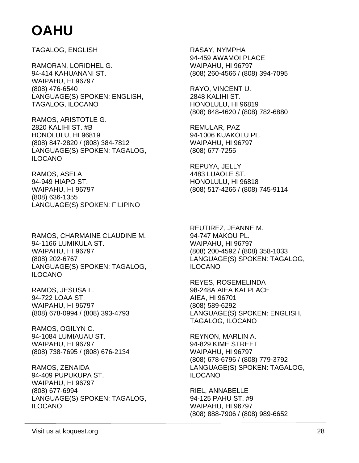TAGALOG, ENGLISH

RAMORAN, LORIDHEL G. 94-414 KAHUANANI ST. WAIPAHU, HI 96797 (808) 476-6540 LANGUAGE(S) SPOKEN: ENGLISH, TAGALOG, ILOCANO

RAMOS, ARISTOTLE G. 2820 KALIHI ST. #B HONOLULU, HI 96819 (808) 847-2820 / (808) 384-7812 LANGUAGE(S) SPOKEN: TAGALOG, ILOCANO

RAMOS, ASELA 94-949 HIAPO ST. WAIPAHU, HI 96797 (808) 636-1355 LANGUAGE(S) SPOKEN: FILIPINO

RAMOS, CHARMAINE CLAUDINE M. 94-1166 LUMIKULA ST. WAIPAHU, HI 96797 (808) 202-6767 LANGUAGE(S) SPOKEN: TAGALOG, ILOCANO

RAMOS, JESUSA L. 94-722 LOAA ST. WAIPAHU, HI 96797 (808) 678-0994 / (808) 393-4793

RAMOS, OGILYN C. 94-1084 LUMIAUAU ST. WAIPAHU, HI 96797 (808) 738-7695 / (808) 676-2134

RAMOS, ZENAIDA 94-409 PUPUKUPA ST. WAIPAHU, HI 96797 (808) 677-6994 LANGUAGE(S) SPOKEN: TAGALOG, ILOCANO

RASAY, NYMPHA 94-459 AWAMOI PLACE WAIPAHU, HI 96797 (808) 260-4566 / (808) 394-7095

RAYO, VINCENT U. 2848 KALIHI ST. HONOLULU, HI 96819 (808) 848-4620 / (808) 782-6880

REMULAR, PAZ 94-1006 KUAKOLU PL. WAIPAHU, HI 96797 (808) 677-7255

REPUYA, JELLY 4483 LUAOLE ST. HONOLULU, HI 96818 (808) 517-4266 / (808) 745-9114

REUTIREZ, JEANNE M. 94-747 MAKOU PL. WAIPAHU, HI 96797 (808) 200-4592 / (808) 358-1033 LANGUAGE(S) SPOKEN: TAGALOG, ILOCANO

REYES, ROSEMELINDA 98-248A AIEA KAI PLACE AIEA, HI 96701 (808) 589-6292 LANGUAGE(S) SPOKEN: ENGLISH, TAGALOG, ILOCANO

REYNON, MARLIN A. 94-829 KIME STREET WAIPAHU, HI 96797 (808) 678-6796 / (808) 779-3792 LANGUAGE(S) SPOKEN: TAGALOG, ILOCANO

RIEL, ANNABELLE 94-125 PAHU ST. #9 WAIPAHU, HI 96797 (808) 888-7906 / (808) 989-6652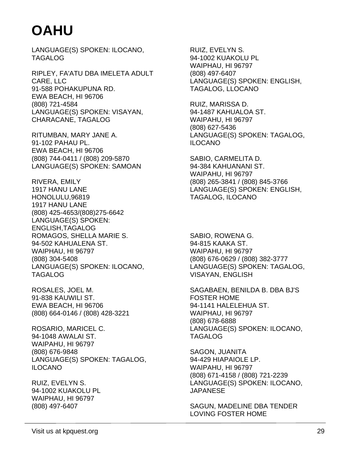LANGUAGE(S) SPOKEN: ILOCANO, TAGALOG

RIPLEY, FA'ATU DBA IMELETA ADULT CARE, LLC 91-588 POHAKUPUNA RD. EWA BEACH, HI 96706 (808) 721-4584 LANGUAGE(S) SPOKEN: VISAYAN, CHARACANE, TAGALOG

RITUMBAN, MARY JANE A. 91-102 PAHAU PL. EWA BEACH, HI 96706 (808) 744-0411 / (808) 209-5870 LANGUAGE(S) SPOKEN: SAMOAN

RIVERA, EMILY 1917 HANU LANE HONOLULU,96819 1917 HANU LANE (808) 425-4653/(808)275-6642 LANGUAGE(S) SPOKEN: ENGLISH,TAGALOG ROMAGOS, SHELLA MARIE S. 94-502 KAHUALENA ST. WAIPHAU, HI 96797 (808) 304-5408 LANGUAGE(S) SPOKEN: ILOCANO, TAGALOG

ROSALES, JOEL M. 91-838 KAUWILI ST. EWA BEACH, HI 96706 (808) 664-0146 / (808) 428-3221

ROSARIO, MARICEL C. 94-1048 AWALAI ST. WAIPAHU, HI 96797 (808) 676-9848 LANGUAGE(S) SPOKEN: TAGALOG, ILOCANO

RUIZ, EVELYN S. 94-1002 KUAKOLU PL WAIPHAU, HI 96797 (808) 497-6407

RUIZ, EVELYN S. 94-1002 KUAKOLU PL WAIPHAU, HI 96797 (808) 497-6407 LANGUAGE(S) SPOKEN: ENGLISH, TAGALOG, LLOCANO

RUIZ, MARISSA D. 94-1487 KAHUALOA ST. WAIPAHU, HI 96797 (808) 627-5436 LANGUAGE(S) SPOKEN: TAGALOG, ILOCANO

SABIO, CARMELITA D. 94-384 KAHUANANI ST. WAIPAHU, HI 96797 (808) 265-3841 / (808) 845-3766 LANGUAGE(S) SPOKEN: ENGLISH, TAGALOG, ILOCANO

SABIO, ROWENA G. 94-815 KAAKA ST. WAIPAHU, HI 96797 (808) 676-0629 / (808) 382-3777 LANGUAGE(S) SPOKEN: TAGALOG, VISAYAN, ENGLISH

SAGABAEN, BENILDA B. DBA BJ'S FOSTER HOME 94-1141 HALELEHUA ST. WAIPHAU, HI 96797 (808) 678-6888 LANGUAGE(S) SPOKEN: ILOCANO, TAGALOG

SAGON, JUANITA 94-429 HIAPAIOLE LP. WAIPAHU, HI 96797 (808) 671-4158 / (808) 721-2239 LANGUAGE(S) SPOKEN: ILOCANO, JAPANESE

SAGUN, MADELINE DBA TENDER LOVING FOSTER HOME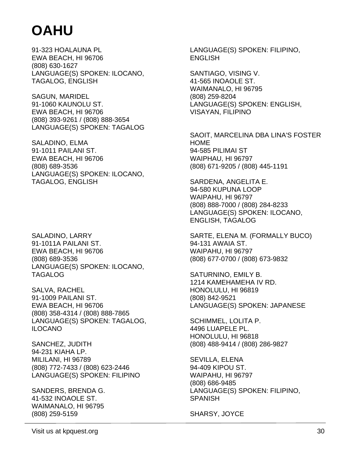91-323 HOALAUNA PL EWA BEACH, HI 96706 (808) 630-1627 LANGUAGE(S) SPOKEN: ILOCANO, TAGALOG, ENGLISH

SAGUN, MARIDEL 91-1060 KAUNOLU ST. EWA BEACH, HI 96706 (808) 393-9261 / (808) 888-3654 LANGUAGE(S) SPOKEN: TAGALOG

SALADINO, ELMA 91-1011 PAILANI ST. EWA BEACH, HI 96706 (808) 689-3536 LANGUAGE(S) SPOKEN: ILOCANO, TAGALOG, ENGLISH

SALADINO, LARRY 91-1011A PAILANI ST. EWA BEACH, HI 96706 (808) 689-3536 LANGUAGE(S) SPOKEN: ILOCANO, TAGALOG

SALVA, RACHEL 91-1009 PAILANI ST. EWA BEACH, HI 96706 (808) 358-4314 / (808) 888-7865 LANGUAGE(S) SPOKEN: TAGALOG, ILOCANO

SANCHEZ, JUDITH 94-231 KIAHA LP. MILILANI, HI 96789 (808) 772-7433 / (808) 623-2446 LANGUAGE(S) SPOKEN: FILIPINO

SANDERS, BRENDA G. 41-532 INOAOLE ST. WAIMANALO, HI 96795 (808) 259-5159

LANGUAGE(S) SPOKEN: FILIPINO, **ENGLISH** 

SANTIAGO, VISING V. 41-565 INOAOLE ST. WAIMANALO, HI 96795 (808) 259-8204 LANGUAGE(S) SPOKEN: ENGLISH, VISAYAN, FILIPINO

SAOIT, MARCELINA DBA LINA'S FOSTER HOME 94-585 PILIMAI ST WAIPHAU, HI 96797 (808) 671-9205 / (808) 445-1191

SARDENA, ANGELITA E. 94-580 KUPUNA LOOP WAIPAHU, HI 96797 (808) 888-7000 / (808) 284-8233 LANGUAGE(S) SPOKEN: ILOCANO, ENGLISH, TAGALOG

SARTE, ELENA M. (FORMALLY BUCO) 94-131 AWAIA ST. WAIPAHU, HI 96797 (808) 677-0700 / (808) 673-9832

SATURNINO, EMILY B. 1214 KAMEHAMEHA IV RD. HONOLULU, HI 96819 (808) 842-9521 LANGUAGE(S) SPOKEN: JAPANESE

SCHIMMEL, LOLITA P. 4496 LUAPELE PL. HONOLULU, HI 96818 (808) 488-9414 / (808) 286-9827

SEVILLA, ELENA 94-409 KIPOU ST. WAIPAHU, HI 96797 (808) 686-9485 LANGUAGE(S) SPOKEN: FILIPINO, SPANISH

SHARSY, JOYCE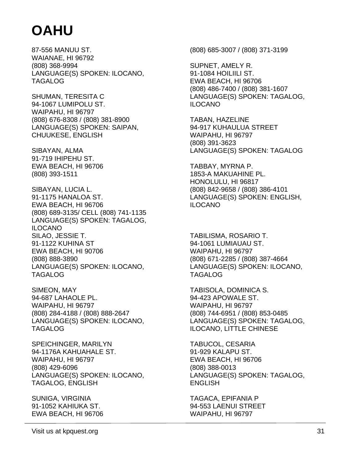87-556 MANUU ST. WAIANAE, HI 96792 (808) 368-9994 LANGUAGE(S) SPOKEN: ILOCANO, TAGALOG

SHUMAN, TERESITA C 94-1067 LUMIPOLU ST. WAIPAHU, HI 96797 (808) 676-8308 / (808) 381-8900 LANGUAGE(S) SPOKEN: SAIPAN, CHUUKESE, ENGLISH

SIBAYAN, ALMA 91-719 IHIPEHU ST. EWA BEACH, HI 96706 (808) 393-1511

SIBAYAN, LUCIA L. 91-1175 HANALOA ST. EWA BEACH, HI 96706 (808) 689-3135/ CELL (808) 741-1135 LANGUAGE(S) SPOKEN: TAGALOG, ILOCANO SILAO, JESSIE T. 91-1122 KUHINA ST EWA BEACH, HI 90706 (808) 888-3890 LANGUAGE(S) SPOKEN: ILOCANO, TAGALOG

SIMEON, MAY 94-687 LAHAOLE PL. WAIPAHU, HI 96797 (808) 284-4188 / (808) 888-2647 LANGUAGE(S) SPOKEN: ILOCANO, TAGALOG

SPEICHINGER, MARILYN 94-1176A KAHUAHALE ST. WAIPAHU, HI 96797 (808) 429-6096 LANGUAGE(S) SPOKEN: ILOCANO, TAGALOG, ENGLISH

SUNIGA, VIRGINIA 91-1052 KAHIUKA ST. EWA BEACH, HI 96706 (808) 685-3007 / (808) 371-3199

SUPNET, AMELY R. 91-1084 HOILIILI ST. EWA BEACH, HI 96706 (808) 486-7400 / (808) 381-1607 LANGUAGE(S) SPOKEN: TAGALOG, ILOCANO

TABAN, HAZELINE 94-917 KUHAULUA STREET WAIPAHU, HI 96797 (808) 391-3623 LANGUAGE(S) SPOKEN: TAGALOG

TABBAY, MYRNA P. 1853-A MAKUAHINE PL. HONOLULU, HI 96817 (808) 842-9658 / (808) 386-4101 LANGUAGE(S) SPOKEN: ENGLISH, ILOCANO

TABILISMA, ROSARIO T. 94-1061 LUMIAUAU ST. WAIPAHU, HI 96797 (808) 671-2285 / (808) 387-4664 LANGUAGE(S) SPOKEN: ILOCANO, TAGALOG

TABISOLA, DOMINICA S. 94-423 APOWALE ST. WAIPAHU, HI 96797 (808) 744-6951 / (808) 853-0485 LANGUAGE(S) SPOKEN: TAGALOG, ILOCANO, LITTLE CHINESE

TABUCOL, CESARIA 91-929 KALAPU ST. EWA BEACH, HI 96706 (808) 388-0013 LANGUAGE(S) SPOKEN: TAGALOG, ENGLISH

TAGACA, EPIFANIA P 94-553 LAENUI STREET WAIPAHU, HI 96797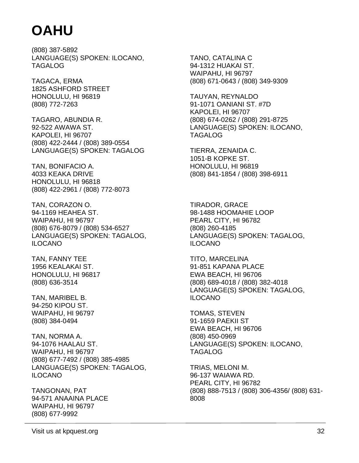(808) 387-5892 LANGUAGE(S) SPOKEN: ILOCANO, TAGALOG

TAGACA, ERMA 1825 ASHFORD STREET HONOLULU, HI 96819 (808) 772-7263

TAGARO, ABUNDIA R. 92-522 AWAWA ST. KAPOLEI, HI 96707 (808) 422-2444 / (808) 389-0554 LANGUAGE(S) SPOKEN: TAGALOG

TAN, BONIFACIO A. 4033 KEAKA DRIVE HONOLULU, HI 96818 (808) 422-2961 / (808) 772-8073

TAN, CORAZON O. 94-1169 HEAHEA ST. WAIPAHU, HI 96797 (808) 676-8079 / (808) 534-6527 LANGUAGE(S) SPOKEN: TAGALOG, ILOCANO

TAN, FANNY TEE 1956 KEALAKAI ST. HONOLULU, HI 96817 (808) 636-3514

TAN, MARIBEL B. 94-250 KIPOU ST. WAIPAHU, HI 96797 (808) 384-0494

TAN, NORMA A. 94-1076 HAALAU ST. WAIPAHU, HI 96797 (808) 677-7492 / (808) 385-4985 LANGUAGE(S) SPOKEN: TAGALOG, ILOCANO

TANGONAN, PAT 94-571 ANAAINA PLACE WAIPAHU, HI 96797 (808) 677-9992

TANO, CATALINA C 94-1312 HUAKAI ST. WAIPAHU, HI 96797 (808) 671-0643 / (808) 349-9309

TAUYAN, REYNALDO 91-1071 OANIANI ST. #7D KAPOLEI, HI 96707 (808) 674-0262 / (808) 291-8725 LANGUAGE(S) SPOKEN: ILOCANO, TAGALOG

TIERRA, ZENAIDA C. 1051-B KOPKE ST. HONOLULU, HI 96819 (808) 841-1854 / (808) 398-6911

TIRADOR, GRACE 98-1488 HOOMAHIE LOOP PEARL CITY, HI 96782 (808) 260-4185 LANGUAGE(S) SPOKEN: TAGALOG, ILOCANO

TITO, MARCELINA 91-851 KAPANA PLACE EWA BEACH, HI 96706 (808) 689-4018 / (808) 382-4018 LANGUAGE(S) SPOKEN: TAGALOG, ILOCANO

TOMAS, STEVEN 91-1659 PAEKII ST EWA BEACH, HI 96706 (808) 450-0969 LANGUAGE(S) SPOKEN: ILOCANO, TAGALOG

TRIAS, MELONI M. 96-137 WAIAWA RD. PEARL CITY, HI 96782 (808) 888-7513 / (808) 306-4356/ (808) 631- 8008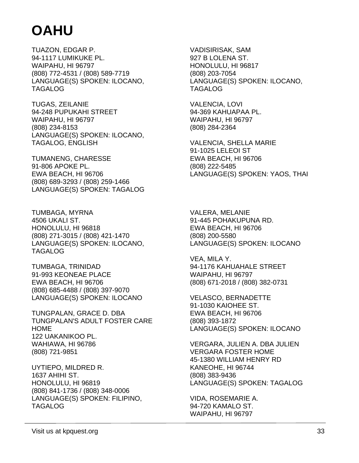TUAZON, EDGAR P. 94-1117 LUMIKUKE PL. WAIPAHU, HI 96797 (808) 772-4531 / (808) 589-7719 LANGUAGE(S) SPOKEN: ILOCANO, TAGALOG

TUGAS, ZEILANIE 94-248 PUPUKAHI STREET WAIPAHU, HI 96797 (808) 234-8153 LANGUAGE(S) SPOKEN: ILOCANO, TAGALOG, ENGLISH

TUMANENG, CHARESSE 91-806 APOKE PL. EWA BEACH, HI 96706 (808) 689-3293 / (808) 259-1466 LANGUAGE(S) SPOKEN: TAGALOG

TUMBAGA, MYRNA 4506 UKALI ST. HONOLULU, HI 96818 (808) 271-3015 / (808) 421-1470 LANGUAGE(S) SPOKEN: ILOCANO, TAGALOG

TUMBAGA, TRINIDAD 91-993 KEONEAE PLACE EWA BEACH, HI 96706 (808) 685-4488 / (808) 397-9070 LANGUAGE(S) SPOKEN: ILOCANO

TUNGPALAN, GRACE D. DBA TUNGPALAN'S ADULT FOSTER CARE HOME 122 UAKANIKOO PL. WAHIAWA, HI 96786 (808) 721-9851

UYTIEPO, MILDRED R. 1637 AHIHI ST. HONOLULU, HI 96819 (808) 841-1736 / (808) 348-0006 LANGUAGE(S) SPOKEN: FILIPINO, TAGALOG

VADISIRISAK, SAM 927 B LOLENA ST. HONOLULU, HI 96817 (808) 203-7054 LANGUAGE(S) SPOKEN: ILOCANO, TAGALOG

VALENCIA, LOVI 94-369 KAHUAPAA PL. WAIPAHU, HI 96797 (808) 284-2364

VALENCIA, SHELLA MARIE 91-1025 LELEOI ST EWA BEACH, HI 96706 (808) 222-5485 LANGUAGE(S) SPOKEN: YAOS, THAI

VALERA, MELANIE 91-445 POHAKUPUNA RD. EWA BEACH, HI 96706 (808) 200-5580 LANGUAGE(S) SPOKEN: ILOCANO

VEA, MILA Y. 94-1176 KAHUAHALE STREET WAIPAHU, HI 96797 (808) 671-2018 / (808) 382-0731

VELASCO, BERNADETTE 91-1030 KAIOHEE ST. EWA BEACH, HI 96706 (808) 393-1872 LANGUAGE(S) SPOKEN: ILOCANO

VERGARA, JULIEN A. DBA JULIEN VERGARA FOSTER HOME 45-1380 WILLIAM HENRY RD KANEOHE, HI 96744 (808) 383-9436 LANGUAGE(S) SPOKEN: TAGALOG

VIDA, ROSEMARIE A. 94-720 KAMALO ST. WAIPAHU, HI 96797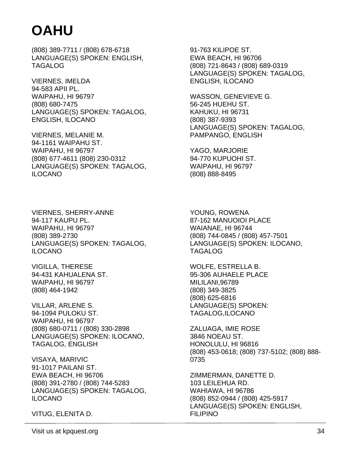(808) 389-7711 / (808) 678-6718 LANGUAGE(S) SPOKEN: ENGLISH, TAGALOG

VIERNES, IMELDA 94-583 APII PL. WAIPAHU, HI 96797 (808) 680-7475 LANGUAGE(S) SPOKEN: TAGALOG, ENGLISH, ILOCANO

VIERNES, MELANIE M. 94-1161 WAIPAHU ST. WAIPAHU, HI 96797 (808) 677-4611 (808) 230-0312 LANGUAGE(S) SPOKEN: TAGALOG, ILOCANO

91-763 KILIPOE ST. EWA BEACH, HI 96706 (808) 721-8643 / (808) 689-0319 LANGUAGE(S) SPOKEN: TAGALOG, ENGLISH, ILOCANO

WASSON, GENEVIEVE G. 56-245 HUEHU ST. KAHUKU, HI 96731 (808) 387-9393 LANGUAGE(S) SPOKEN: TAGALOG, PAMPANGO, ENGLISH

YAGO, MARJORIE 94-770 KUPUOHI ST. WAIPAHU, HI 96797 (808) 888-8495

VIERNES, SHERRY-ANNE 94-117 KAUPU PL. WAIPAHU, HI 96797 (808) 389-2730 LANGUAGE(S) SPOKEN: TAGALOG, ILOCANO

VIGILLA, THERESE 94-431 KAHUALENA ST. WAIPAHU, HI 96797 (808) 464-1942

VILLAR, ARLENE S. 94-1094 PULOKU ST. WAIPAHU, HI 96797 (808) 680-0711 / (808) 330-2898 LANGUAGE(S) SPOKEN: ILOCANO, TAGALOG, ENGLISH

VISAYA, MARIVIC 91-1017 PAILANI ST. EWA BEACH, HI 96706 (808) 391-2780 / (808) 744-5283 LANGUAGE(S) SPOKEN: TAGALOG, ILOCANO

VITUG, ELENITA D.

YOUNG, ROWENA 87-162 MANUOIOI PLACE WAIANAE, HI 96744 (808) 744-0845 / (808) 457-7501 LANGUAGE(S) SPOKEN: ILOCANO, TAGALOG

WOLFE, ESTRELLA B. 95-306 AUHAELE PLACE MILILANI,96789 (808) 349-3825 (808) 625-6816 LANGUAGE(S) SPOKEN: TAGALOG,ILOCANO

ZALUAGA, IMIE ROSE 3846 NOEAU ST. HONOLULU, HI 96816 (808) 453-0618; (808) 737-5102; (808) 888- 0735

ZIMMERMAN, DANETTE D. 103 LEILEHUA RD. WAHIAWA, HI 96786 (808) 852-0944 / (808) 425-5917 LANGUAGE(S) SPOKEN: ENGLISH, FILIPINO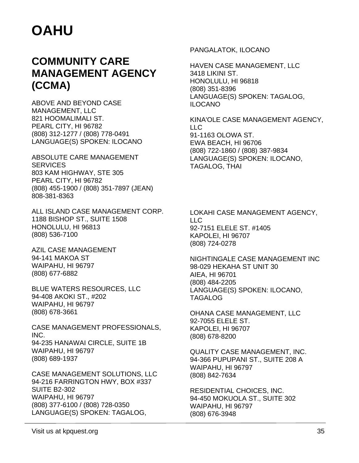### **COMMUNITY CARE MANAGEMENT AGENCY (CCMA)**

ABOVE AND BEYOND CASE MANAGEMENT, LLC 821 HOOMALIMALI ST. PEARL CITY, HI 96782 (808) 312-1277 / (808) 778-0491 LANGUAGE(S) SPOKEN: ILOCANO

ABSOLUTE CARE MANAGEMENT **SERVICES** 803 KAM HIGHWAY, STE 305 PEARL CITY, HI 96782 (808) 455-1900 / (808) 351-7897 (JEAN) 808-381-8363

ALL ISLAND CASE MANAGEMENT CORP. 1188 BISHOP ST., SUITE 1508 HONOLULU, HI 96813 (808) 536-7100

AZIL CASE MANAGEMENT 94-141 MAKOA ST WAIPAHU, HI 96797 (808) 677-6882

BLUE WATERS RESOURCES, LLC 94-408 AKOKI ST., #202 WAIPAHU, HI 96797 (808) 678-3661

CASE MANAGEMENT PROFESSIONALS, INC. 94-235 HANAWAI CIRCLE, SUITE 1B WAIPAHU, HI 96797 (808) 689-1937

CASE MANAGEMENT SOLUTIONS, LLC 94-216 FARRINGTON HWY, BOX #337 SUITE B2-302 WAIPAHU, HI 96797 (808) 377-6100 / (808) 728-0350 LANGUAGE(S) SPOKEN: TAGALOG,

PANGALATOK, ILOCANO

HAVEN CASE MANAGEMENT, LLC 3418 LIKINI ST. HONOLULU, HI 96818 (808) 351-8396 LANGUAGE(S) SPOKEN: TAGALOG, ILOCANO

KINA'OLE CASE MANAGEMENT AGENCY, LLC 91-1163 OLOWA ST. EWA BEACH, HI 96706 (808) 722-1860 / (808) 387-9834 LANGUAGE(S) SPOKEN: ILOCANO, TAGALOG, THAI

LOKAHI CASE MANAGEMENT AGENCY,  $\overline{L}$ 92-7151 ELELE ST. #1405 KAPOLEI, HI 96707 (808) 724-0278

NIGHTINGALE CASE MANAGEMENT INC 98-029 HEKAHA ST UNIT 30 AIEA, HI 96701 (808) 484-2205 LANGUAGE(S) SPOKEN: ILOCANO, TAGALOG

OHANA CASE MANAGEMENT, LLC 92-7055 ELELE ST. KAPOLEI, HI 96707 (808) 678-8200

QUALITY CASE MANAGEMENT, INC. 94-366 PUPUPANI ST., SUITE 208 A WAIPAHU, HI 96797 (808) 842-7634

RESIDENTIAL CHOICES, INC. 94-450 MOKUOLA ST., SUITE 302 WAIPAHU, HI 96797 (808) 676-3948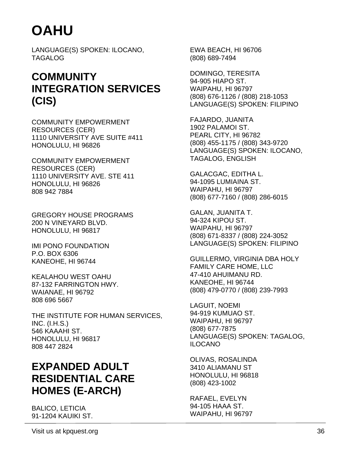LANGUAGE(S) SPOKEN: ILOCANO, TAGALOG

### **COMMUNITY INTEGRATION SERVICES (CIS)**

COMMUNITY EMPOWERMENT RESOURCES (CER) 1110 UNIVERSITY AVE SUITE #411 HONOLULU, HI 96826

COMMUNITY EMPOWERMENT RESOURCES (CER) 1110 UNIVERSITY AVE. STE 411 HONOLULU, HI 96826 808 942 7884

GREGORY HOUSE PROGRAMS 200 N VINEYARD BLVD. HONOLULU, HI 96817

IMI PONO FOUNDATION P.O. BOX 6306 KANEOHE, HI 96744

KEALAHOU WEST OAHU 87-132 FARRINGTON HWY. WAIANAE, HI 96792 808 696 5667

THE INSTITUTE FOR HUMAN SERVICES, INC. (I.H.S.) 546 KAAAHI ST. HONOLULU, HI 96817 808 447 2824

### **EXPANDED ADULT RESIDENTIAL CARE HOMES (E-ARCH)**

BALICO, LETICIA 91-1204 KAUIKI ST. EWA BEACH, HI 96706 (808) 689-7494

DOMINGO, TERESITA 94-905 HIAPO ST. WAIPAHU, HI 96797 (808) 676-1126 / (808) 218-1053 LANGUAGE(S) SPOKEN: FILIPINO

FAJARDO, JUANITA 1902 PALAMOI ST. PEARL CITY, HI 96782 (808) 455-1175 / (808) 343-9720 LANGUAGE(S) SPOKEN: ILOCANO, TAGALOG, ENGLISH

GALACGAC, EDITHA L. 94-1095 LUMIAINA ST. WAIPAHU, HI 96797 (808) 677-7160 / (808) 286-6015

GALAN, JUANITA T. 94-324 KIPOU ST. WAIPAHU, HI 96797 (808) 671-8337 / (808) 224-3052 LANGUAGE(S) SPOKEN: FILIPINO

GUILLERMO, VIRGINIA DBA HOLY FAMILY CARE HOME, LLC 47-410 AHUIMANU RD. KANEOHE, HI 96744 (808) 479-0770 / (808) 239-7993

LAGUIT, NOEMI 94-919 KUMUAO ST. WAIPAHU, HI 96797 (808) 677-7875 LANGUAGE(S) SPOKEN: TAGALOG, ILOCANO

OLIVAS, ROSALINDA 3410 ALIAMANU ST HONOLULU, HI 96818 (808) 423-1002

RAFAEL, EVELYN 94-105 HAAA ST. WAIPAHU, HI 96797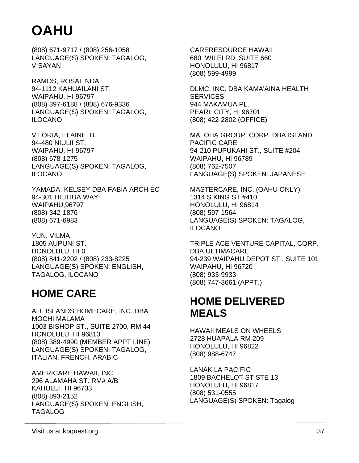(808) 671-9717 / (808) 256-1058 LANGUAGE(S) SPOKEN: TAGALOG, VISAYAN

RAMOS, ROSALINDA 94-1112 KAHUAILANI ST. WAIPAHU, HI 96797 (808) 397-6188 / (808) 676-9336 LANGUAGE(S) SPOKEN: TAGALOG, ILOCANO

VILORIA, ELAINE B. 94-480 NIULII ST. WAIPAHU, HI 96797 (808) 678-1275 LANGUAGE(S) SPOKEN: TAGALOG, ILOCANO

YAMADA, KELSEY DBA FABIA ARCH EC 94-301 HILIHUA WAY WAIPAHU,96797 (808) 342-1876 (808) 671-6983

YUN, VILMA 1805 AUPUNI ST. HONOLULU, HI 0 (808) 841-2202 / (808) 233-8225 LANGUAGE(S) SPOKEN: ENGLISH, TAGALOG, ILOCANO

### **HOME CARE**

ALL ISLANDS HOMECARE, INC. DBA MOCHI MALAMA 1003 BISHOP ST., SUITE 2700, RM 44 HONOLULU, HI 96813 (808) 389-4990 (MEMBER APPT LINE) LANGUAGE(S) SPOKEN: TAGALOG, ITALIAN, FRENCH, ARABIC

AMERICARE HAWAII, INC 296 ALAMAHA ST. RM# A/B KAHULUI, HI 96733 (808) 893-2152 LANGUAGE(S) SPOKEN: ENGLISH, TAGALOG

CARERESOURCE HAWAII 680 IWILEI RD. SUITE 660 HONOLULU, HI 96817 (808) 599-4999

DLMC, INC. DBA KAMA'AINA HEALTH **SERVICES** 944 MAKAMUA PL. PEARL CITY, HI 96701 (808) 422-2802 (OFFICE)

MALOHA GROUP, CORP. DBA ISLAND PACIFIC CARE 94-210 PUPUKAHI ST., SUITE #204 WAIPAHU, HI 96789 (808) 762-7507 LANGUAGE(S) SPOKEN: JAPANESE

MASTERCARE, INC. (OAHU ONLY) 1314 S KING ST #410 HONOLULU, HI 96814 (808) 597-1564 LANGUAGE(S) SPOKEN: TAGALOG, ILOCANO

TRIPLE ACE VENTURE CAPITAL, CORP. DBA ULTIMACARE 94-239 WAIPAHU DEPOT ST., SUITE 101 WAIPAHU, HI 96720 (808) 933-9933 (808) 747-3661 (APPT.)

### **HOME DELIVERED MEALS**

HAWAII MEALS ON WHEELS 2728 HUAPALA RM 209 HONOLULU, HI 96822 (808) 988-6747

LANAKILA PACIFIC 1809 BACHELOT ST STE 13 HONOLULU, HI 96817 (808) 531-0555 LANGUAGE(S) SPOKEN: Tagalog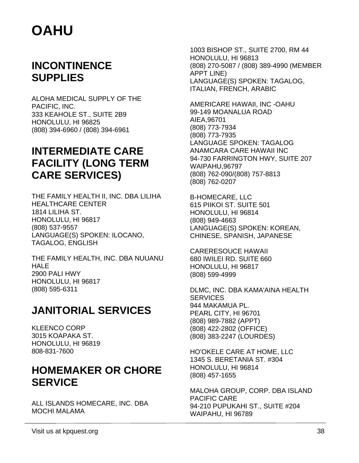### **INCONTINENCE SUPPLIES**

ALOHA MEDICAL SUPPLY OF THE PACIFIC, INC. 333 KEAHOLE ST., SUITE 2B9 HONOLULU, HI 96825 (808) 394-6960 / (808) 394-6961

### **INTERMEDIATE CARE FACILITY (LONG TERM CARE SERVICES)**

THE FAMILY HEALTH II, INC. DBA LILIHA HEALTHCARE CENTER 1814 LILIHA ST. HONOLULU, HI 96817 (808) 537-9557 LANGUAGE(S) SPOKEN: ILOCANO, TAGALOG, ENGLISH

THE FAMILY HEALTH, INC. DBA NUUANU HALE 2900 PALI HWY HONOLULU, HI 96817 (808) 595-6311

### **JANITORIAL SERVICES**

KLEENCO CORP 3015 KOAPAKA ST. HONOLULU, HI 96819 808-831-7600

### **HOMEMAKER OR CHORE SERVICE**

ALL ISLANDS HOMECARE, INC. DBA MOCHI MALAMA

1003 BISHOP ST., SUITE 2700, RM 44 HONOLULU, HI 96813 (808) 270-5087 / (808) 389-4990 (MEMBER APPT LINE) LANGUAGE(S) SPOKEN: TAGALOG, ITALIAN, FRENCH, ARABIC

AMERICARE HAWAII, INC -OAHU 99-149 MOANALUA ROAD AIEA,96701 (808) 773-7934 (808) 773-7935 LANGUAGE SPOKEN: TAGALOG ANAMCARA CARE HAWAII INC 94-730 FARRINGTON HWY, SUITE 207 WAIPAHU,96797 (808) 762-090/(808) 757-8813 (808) 762-0207

B-HOMECARE, LLC 615 PIIKOI ST. SUITE 501 HONOLULU, HI 96814 (808) 949-4663 LANGUAGE(S) SPOKEN: KOREAN, CHINESE, SPANISH, JAPANESE

CARERESOUCE HAWAII 680 IWILEI RD. SUITE 660 HONOLULU, HI 96817 (808) 599-4999

DLMC, INC. DBA KAMA'AINA HEALTH **SERVICES** 944 MAKAMUA PL. PEARL CITY, HI 96701 (808) 989-7882 (APPT) (808) 422-2802 (OFFICE) (808) 383-2247 (LOURDES)

HO'OKELE CARE AT HOME, LLC 1345 S. BERETANIA ST. #304 HONOLULU, HI 96814 (808) 457-1655

MALOHA GROUP, CORP. DBA ISLAND PACIFIC CARE 94-210 PUPUKAHI ST., SUITE #204 WAIPAHU, HI 96789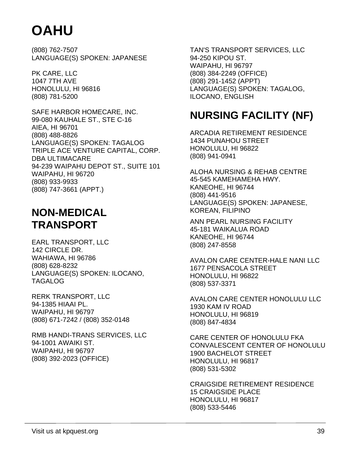(808) 762-7507 LANGUAGE(S) SPOKEN: JAPANESE

PK CARE, LLC 1047 7TH AVE HONOLULU, HI 96816 (808) 781-5200

SAFE HARBOR HOMECARE, INC. 99-080 KAUHALE ST., STE C-16 AIEA, HI 96701 (808) 488-8826 LANGUAGE(S) SPOKEN: TAGALOG TRIPLE ACE VENTURE CAPITAL, CORP. DBA ULTIMACARE 94-239 WAIPAHU DEPOT ST., SUITE 101 WAIPAHU, HI 96720 (808) 933-9933 (808) 747-3661 (APPT.)

### **NON-MEDICAL TRANSPORT**

EARL TRANSPORT, LLC 142 CIRCLE DR. WAHIAWA, HI 96786 (808) 628-8232 LANGUAGE(S) SPOKEN: ILOCANO, TAGALOG

RERK TRANSPORT, LLC 94-1385 HIAAI PL. WAIPAHU, HI 96797 (808) 671-7242 / (808) 352-0148

RMB HANDI-TRANS SERVICES, LLC 94-1001 AWAIKI ST. WAIPAHU, HI 96797 (808) 392-2023 (OFFICE)

TAN'S TRANSPORT SERVICES, LLC 94-250 KIPOU ST. WAIPAHU, HI 96797 (808) 384-2249 (OFFICE) (808) 291-1452 (APPT) LANGUAGE(S) SPOKEN: TAGALOG, ILOCANO, ENGLISH

### **NURSING FACILITY (NF)**

ARCADIA RETIREMENT RESIDENCE 1434 PUNAHOU STREET HONOLULU, HI 96822 (808) 941-0941

ALOHA NURSING & REHAB CENTRE 45-545 KAMEHAMEHA HWY. KANEOHE, HI 96744 (808) 441-9516 LANGUAGE(S) SPOKEN: JAPANESE, KOREAN, FILIPINO

ANN PEARL NURSING FACILITY 45-181 WAIKALUA ROAD KANEOHE, HI 96744 (808) 247-8558

AVALON CARE CENTER-HALE NANI LLC 1677 PENSACOLA STREET HONOLULU, HI 96822 (808) 537-3371

AVALON CARE CENTER HONOLULU LLC 1930 KAM IV ROAD HONOLULU, HI 96819 (808) 847-4834

CARE CENTER OF HONOLULU FKA CONVALESCENT CENTER OF HONOLULU 1900 BACHELOT STREET HONOLULU, HI 96817 (808) 531-5302

CRAIGSIDE RETIREMENT RESIDENCE 15 CRAIGSIDE PLACE HONOLULU, HI 96817 (808) 533-5446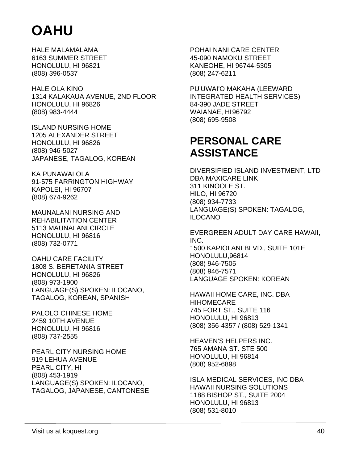HALE MALAMALAMA 6163 SUMMER STREET HONOLULU, HI 96821 (808) 396-0537

HALE OLA KINO 1314 KALAKAUA AVENUE, 2ND FLOOR HONOLULU, HI 96826 (808) 983-4444

ISLAND NURSING HOME 1205 ALEXANDER STREET HONOLULU, HI 96826 (808) 946-5027 JAPANESE, TAGALOG, KOREAN

KA PUNAWAI OLA 91-575 FARRINGTON HIGHWAY KAPOLEI, HI 96707 (808) 674-9262

MAUNALANI NURSING AND REHABILITATION CENTER 5113 MAUNALANI CIRCLE HONOLULU, HI 96816 (808) 732-0771

OAHU CARE FACILITY 1808 S. BERETANIA STREET HONOLULU, HI 96826 (808) 973-1900 LANGUAGE(S) SPOKEN: ILOCANO, TAGALOG, KOREAN, SPANISH

PALOLO CHINESE HOME 2459 10TH AVENUE HONOLULU, HI 96816 (808) 737-2555

PEARL CITY NURSING HOME 919 LEHUA AVENUE PEARL CITY, HI (808) 453-1919 LANGUAGE(S) SPOKEN: ILOCANO, TAGALOG, JAPANESE, CANTONESE POHAI NANI CARE CENTER 45-090 NAMOKU STREET KANEOHE, HI 96744-5305 (808) 247-6211

PU'UWAI'O MAKAHA (LEEWARD INTEGRATED HEALTH SERVICES) 84-390 JADE STREET WAIANAE, HI 96792 (808) 695-9508

### **PERSONAL CARE ASSISTANCE**

DIVERSIFIED ISLAND INVESTMENT, LTD DBA MAXICARE LINK 311 KINOOLE ST. HILO, HI 96720 (808) 934-7733 LANGUAGE(S) SPOKEN: TAGALOG, ILOCANO

EVERGREEN ADULT DAY CARE HAWAII, INC. 1500 KAPIOLANI BLVD., SUITE 101E HONOLULU,96814 (808) 946-7505 (808) 946-7571 LANGUAGE SPOKEN: KOREAN

HAWAII HOME CARE, INC. DBA HIHOMECARE 745 FORT ST., SUITE 116 HONOLULU, HI 96813 (808) 356-4357 / (808) 529-1341

HEAVEN'S HELPERS INC. 765 AMANA ST. STE 500 HONOLULU, HI 96814 (808) 952-6898

ISLA MEDICAL SERVICES, INC DBA HAWAII NURSING SOLUTIONS 1188 BISHOP ST., SUITE 2004 HONOLULU, HI 96813 (808) 531-8010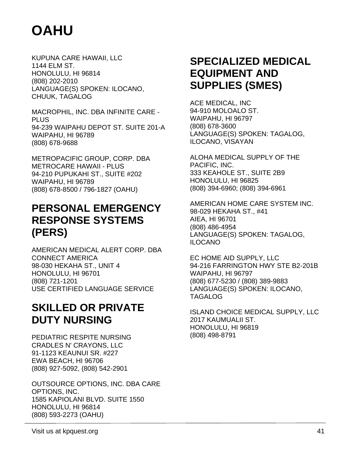KUPUNA CARE HAWAII, LLC 1144 ELM ST. HONOLULU, HI 96814 (808) 202-2010 LANGUAGE(S) SPOKEN: ILOCANO, CHUUK, TAGALOG

MACROPHIL, INC. DBA INFINITE CARE - PLUS 94-239 WAIPAHU DEPOT ST. SUITE 201-A WAIPAHU, HI 96789 (808) 678-9688

METROPACIFIC GROUP, CORP. DBA METROCARE HAWAII - PLUS 94-210 PUPUKAHI ST., SUITE #202 WAIPAHU, HI 96789 (808) 678-8500 / 796-1827 (OAHU)

### **PERSONAL EMERGENCY RESPONSE SYSTEMS (PERS)**

AMERICAN MEDICAL ALERT CORP. DBA CONNECT AMERICA 98-030 HEKAHA ST., UNIT 4 HONOLULU, HI 96701 (808) 721-1201 USE CERTIFIED LANGUAGE SERVICE

### **SKILLED OR PRIVATE DUTY NURSING**

PEDIATRIC RESPITE NURSING CRADLES N' CRAYONS, LLC 91-1123 KEAUNUI SR. #227 EWA BEACH, HI 96706 (808) 927-5092, (808) 542-2901

OUTSOURCE OPTIONS, INC. DBA CARE OPTIONS, INC. 1585 KAPIOLANI BLVD. SUITE 1550 HONOLULU, HI 96814 (808) 593-2273 (OAHU)

### **SPECIALIZED MEDICAL EQUIPMENT AND SUPPLIES (SMES)**

ACE MEDICAL, INC 94-910 MOLOALO ST. WAIPAHU, HI 96797 (808) 678-3600 LANGUAGE(S) SPOKEN: TAGALOG, ILOCANO, VISAYAN

ALOHA MEDICAL SUPPLY OF THE PACIFIC, INC. 333 KEAHOLE ST., SUITE 2B9 HONOLULU, HI 96825 (808) 394-6960; (808) 394-6961

AMERICAN HOME CARE SYSTEM INC. 98-029 HEKAHA ST., #41 AIEA, HI 96701 (808) 486-4954 LANGUAGE(S) SPOKEN: TAGALOG, ILOCANO

EC HOME AID SUPPLY, LLC 94-216 FARRINGTON HWY STE B2-201B WAIPAHU, HI 96797 (808) 677-5230 / (808) 389-9883 LANGUAGE(S) SPOKEN: ILOCANO, TAGALOG

ISLAND CHOICE MEDICAL SUPPLY, LLC 2017 KAUMUALII ST. HONOLULU, HI 96819 (808) 498-8791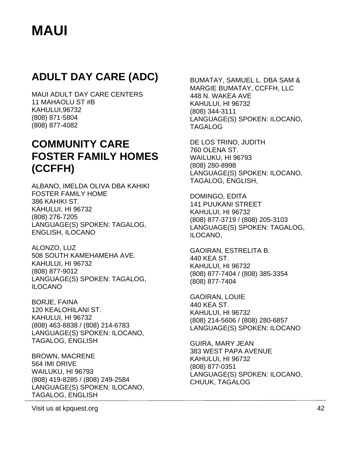### **ADULT DAY CARE (ADC)**

MAUI ADULT DAY CARE CENTERS 11 MAHAOLU ST #B KAHULUI,96732 (808) 871-5804 (808) 877-4082

### **COMMUNITY CARE FOSTER FAMILY HOMES (CCFFH)**

ALBANO, IMELDA OLIVA DBA KAHIKI FOSTER FAMILY HOME 386 KAHIKI ST. KAHULUI, HI 96732 (808) 276-7205 LANGUAGE(S) SPOKEN: TAGALOG, ENGLISH, ILOCANO

ALONZO, LUZ 508 SOUTH KAMEHAMEHA AVE. KAHULUI, HI 96732 (808) 877-9012 LANGUAGE(S) SPOKEN: TAGALOG, ILOCANO

BORJE, FAINA 120 KEALOHILANI ST. KAHULUI, HI 96732 (808) 463-8838 / (808) 214-6783 LANGUAGE(S) SPOKEN: ILOCANO, TAGALOG, ENGLISH

BROWN, MACRENE 564 IMI DRIVE WAILUKU, HI 96793 (808) 419-8285 / (808) 249-2584 LANGUAGE(S) SPOKEN: ILOCANO, TAGALOG, ENGLISH

BUMATAY, SAMUEL L. DBA SAM & MARGIE BUMATAY, CCFFH, LLC 448 N. WAKEA AVE KAHULUI, HI 96732 (808) 344-3111 LANGUAGE(S) SPOKEN: ILOCANO, TAGALOG

DE LOS TRINO, JUDITH 760 OLENA ST. WAILUKU, HI 96793 (808) 280-8998 LANGUAGE(S) SPOKEN: ILOCANO, TAGALOG, ENGLISH,

DOMINGO, EDITA 141 PUUKANI STREET KAHULUI, HI 96732 (808) 877-3719 / (808) 205-3103 LANGUAGE(S) SPOKEN: TAGALOG, ILOCANO,

GAOIRAN, ESTRELITA B. 440 KEA ST. KAHULUI, HI 96732 (808) 877-7404 / (808) 385-3354 (808) 877-7404

GAOIRAN, LOUIE 440 KEA ST. KAHULUI, HI 96732 (808) 214-5606 / (808) 280-6857 LANGUAGE(S) SPOKEN: ILOCANO

GUIRA, MARY JEAN 383 WEST PAPA AVENUE KAHULUI, HI 96732 (808) 877-0351 LANGUAGE(S) SPOKEN: ILOCANO, CHUUK, TAGALOG

Visit us at kpquest.org 42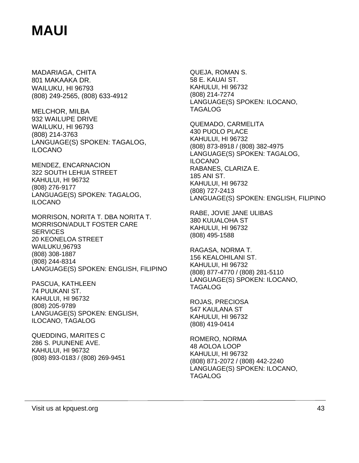MADARIAGA, CHITA 801 MAKAAKA DR. WAILUKU, HI 96793 (808) 249-2565, (808) 633-4912

MELCHOR, MILBA 932 WAILUPE DRIVE WAILUKU, HI 96793 (808) 214-3763 LANGUAGE(S) SPOKEN: TAGALOG, ILOCANO

MENDEZ, ENCARNACION 322 SOUTH LEHUA STREET KAHULUI, HI 96732 (808) 276-9177 LANGUAGE(S) SPOKEN: TAGALOG, ILOCANO

MORRISON, NORITA T. DBA NORITA T. MORRISON/ADULT FOSTER CARE **SERVICES** 20 KEONELOA STREET WAILUKU,96793 (808) 308-1887 (808) 244-8314 LANGUAGE(S) SPOKEN: ENGLISH, FILIPINO

PASCUA, KATHLEEN 74 PUUKANI ST. KAHULUI, HI 96732 (808) 205-9789 LANGUAGE(S) SPOKEN: ENGLISH, ILOCANO, TAGALOG

QUEDDING, MARITES C 286 S. PUUNENE AVE. KAHULUI, HI 96732 (808) 893-0183 / (808) 269-9451

QUEJA, ROMAN S. 58 E. KAUAI ST. KAHULUI, HI 96732 (808) 214-7274 LANGUAGE(S) SPOKEN: ILOCANO, TAGALOG

QUEMADO, CARMELITA 430 PUOLO PLACE KAHULUI, HI 96732 (808) 873-8918 / (808) 382-4975 LANGUAGE(S) SPOKEN: TAGALOG, ILOCANO RABANES, CLARIZA E. 185 ANI ST. KAHULUI, HI 96732 (808) 727-2413 LANGUAGE(S) SPOKEN: ENGLISH, FILIPINO

RABE, JOVIE JANE ULIBAS 380 KUUALOHA ST KAHULUI, HI 96732 (808) 495-1588

RAGASA, NORMA T. 156 KEALOHILANI ST. KAHULUI, HI 96732 (808) 877-4770 / (808) 281-5110 LANGUAGE(S) SPOKEN: ILOCANO, TAGALOG

ROJAS, PRECIOSA 547 KAULANA ST KAHULUI, HI 96732 (808) 419-0414

ROMERO, NORMA 48 AOLOA LOOP KAHULUI, HI 96732 (808) 871-2072 / (808) 442-2240 LANGUAGE(S) SPOKEN: ILOCANO, TAGALOG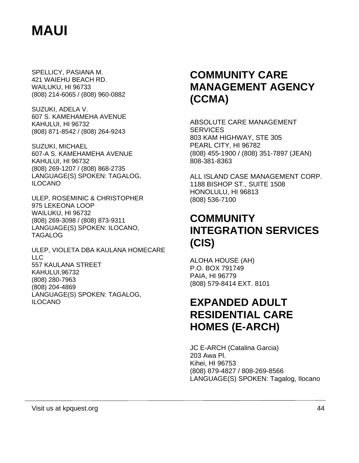SPELLICY, PASIANA M. 421 WAIEHU BEACH RD. WAILUKU, HI 96733 (808) 214-6065 / (808) 960-0882

SUZUKI, ADELA V. 607 S. KAMEHAMEHA AVENUE KAHULUI, HI 96732 (808) 871-8542 / (808) 264-9243

SUZUKI, MICHAEL 607-A S. KAMEHAMEHA AVENUE KAHULUI, HI 96732 (808) 269-1207 / (808) 868-2735 LANGUAGE(S) SPOKEN: TAGALOG, ILOCANO

ULEP, ROSEMINIC & CHRISTOPHER 975 LEKEONA LOOP WAILUKU, HI 96732 (808) 269-3098 / (808) 873-9311 LANGUAGE(S) SPOKEN: ILOCANO, TAGALOG

ULEP, VIOLETA DBA KAULANA HOMECARE LLC 557 KAULANA STREET KAHULUI,96732 (808) 280-7963 (808) 204-4869 LANGUAGE(S) SPOKEN: TAGALOG, ILOCANO

### **COMMUNITY CARE MANAGEMENT AGENCY (CCMA)**

ABSOLUTE CARE MANAGEMENT **SERVICES** 803 KAM HIGHWAY, STE 305 PEARL CITY, HI 96782 (808) 455-1900 / (808) 351-7897 (JEAN) 808-381-8363

ALL ISLAND CASE MANAGEMENT CORP. 1188 BISHOP ST., SUITE 1508 HONOLULU, HI 96813 (808) 536-7100

### **COMMUNITY INTEGRATION SERVICES (CIS)**

ALOHA HOUSE (AH) P.O. BOX 791749 PAIA, HI 96779 (808) 579-8414 EXT. 8101

### **EXPANDED ADULT RESIDENTIAL CARE HOMES (E-ARCH)**

JC E-ARCH (Catalina Garcia) 203 Awa Pl. Kihei, HI 96753 (808) 879-4827 / 808-269-8566 LANGUAGE(S) SPOKEN: Tagalog, Ilocano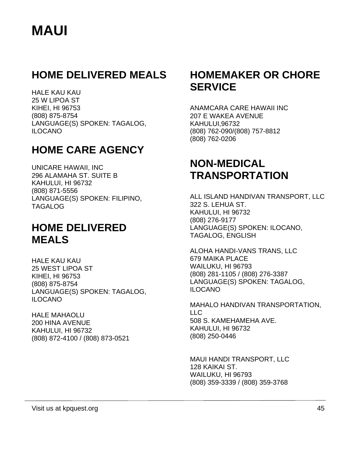### **HOME DELIVERED MEALS**

HALE KAU KAU 25 W LIPOA ST KIHEI, HI 96753 (808) 875-8754 LANGUAGE(S) SPOKEN: TAGALOG, ILOCANO

### **HOME CARE AGENCY**

UNICARE HAWAII, INC 296 ALAMAHA ST. SUITE B KAHULUI, HI 96732 (808) 871-5556 LANGUAGE(S) SPOKEN: FILIPINO, TAGALOG

### **HOME DELIVERED MEALS**

HALE KAU KAU 25 WEST LIPOA ST KIHEI, HI 96753 (808) 875-8754 LANGUAGE(S) SPOKEN: TAGALOG, ILOCANO

HALE MAHAOLU 200 HINA AVENUE KAHULUI, HI 96732 (808) 872-4100 / (808) 873-0521

### **HOMEMAKER OR CHORE SERVICE**

ANAMCARA CARE HAWAII INC 207 E WAKEA AVENUE KAHULUI,96732 (808) 762-090/(808) 757-8812 (808) 762-0206

### **NON-MEDICAL TRANSPORTATION**

ALL ISLAND HANDIVAN TRANSPORT, LLC 322 S. LEHUA ST. KAHULUI, HI 96732 (808) 276-9177 LANGUAGE(S) SPOKEN: ILOCANO, TAGALOG, ENGLISH

ALOHA HANDI-VANS TRANS, LLC 679 MAIKA PLACE WAILUKU, HI 96793 (808) 281-1105 / (808) 276-3387 LANGUAGE(S) SPOKEN: TAGALOG, ILOCANO

MAHALO HANDIVAN TRANSPORTATION, LLC 508 S. KAMEHAMEHA AVE. KAHULUI, HI 96732 (808) 250-0446

MAUI HANDI TRANSPORT, LLC 128 KAIKAI ST. WAILUKU, HI 96793 (808) 359-3339 / (808) 359-3768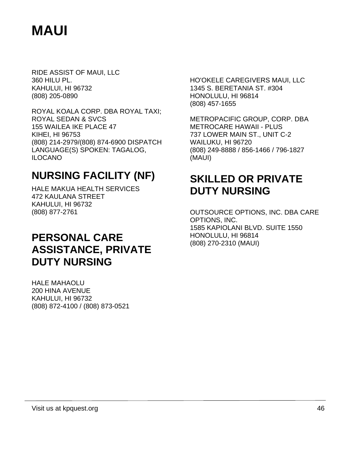RIDE ASSIST OF MAUI, LLC 360 HILU PL. KAHULUI, HI 96732 (808) 205-0890

ROYAL KOALA CORP. DBA ROYAL TAXI; ROYAL SEDAN & SVCS 155 WAILEA IKE PLACE 47 KIHEI, HI 96753 (808) 214-2979/(808) 874-6900 DISPATCH LANGUAGE(S) SPOKEN: TAGALOG, ILOCANO

### **NURSING FACILITY (NF)**

HALE MAKUA HEALTH SERVICES 472 KAULANA STREET KAHULUI, HI 96732 (808) 877-2761

### **PERSONAL CARE ASSISTANCE, PRIVATE DUTY NURSING**

HALE MAHAOLU 200 HINA AVENUE KAHULUI, HI 96732 (808) 872-4100 / (808) 873-0521 HO'OKELE CAREGIVERS MAUI, LLC 1345 S. BERETANIA ST. #304 HONOLULU, HI 96814 (808) 457-1655

METROPACIFIC GROUP, CORP. DBA METROCARE HAWAII - PLUS 737 LOWER MAIN ST., UNIT C-2 WAILUKU, HI 96720 (808) 249-8888 / 856-1466 / 796-1827 (MAUI)

### **SKILLED OR PRIVATE DUTY NURSING**

OUTSOURCE OPTIONS, INC. DBA CARE OPTIONS, INC. 1585 KAPIOLANI BLVD. SUITE 1550 HONOLULU, HI 96814 (808) 270-2310 (MAUI)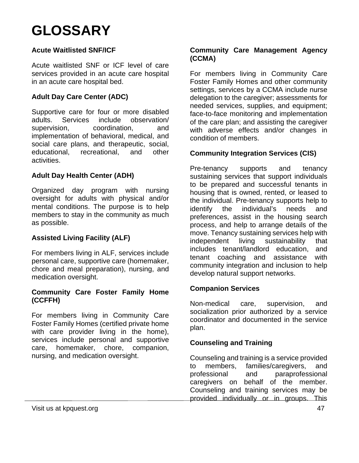#### **Acute Waitlisted SNF/ICF**

Acute waitlisted SNF or ICF level of care services provided in an acute care hospital in an acute care hospital bed.

#### **Adult Day Care Center (ADC)**

Supportive care for four or more disabled adults. Services include observation/ supervision, coordination, and implementation of behavioral, medical, and social care plans, and therapeutic, social, educational, recreational, and other activities.

#### **Adult Day Health Center (ADH)**

Organized day program with nursing oversight for adults with physical and/or mental conditions. The purpose is to help members to stay in the community as much as possible.

#### **Assisted Living Facility (ALF)**

For members living in ALF, services include personal care, supportive care (homemaker, chore and meal preparation), nursing, and medication oversight.

#### **Community Care Foster Family Home (CCFFH)**

For members living in Community Care Foster Family Homes (certified private home with care provider living in the home), services include personal and supportive care, homemaker, chore, companion, nursing, and medication oversight.

#### **Community Care Management Agency (CCMA)**

For members living in Community Care Foster Family Homes and other community settings, services by a CCMA include nurse delegation to the caregiver; assessments for needed services, supplies, and equipment; face-to-face monitoring and implementation of the care plan; and assisting the caregiver with adverse effects and/or changes in condition of members.

#### **Community Integration Services (CIS)**

Pre-tenancy supports and tenancy sustaining services that support individuals to be prepared and successful tenants in housing that is owned, rented, or leased to the individual. Pre-tenancy supports help to identify the individual's needs and preferences, assist in the housing search process, and help to arrange details of the move. Tenancy sustaining services help with independent living sustainability that includes tenant/landlord education, and tenant coaching and assistance with community integration and inclusion to help develop natural support networks.

#### **Companion Services**

Non-medical care, supervision, and socialization prior authorized by a service coordinator and documented in the service plan.

#### **Counseling and Training**

Counseling and training is a service provided to members, families/caregivers, and professional and paraprofessional caregivers on behalf of the member. Counseling and training services may be provided individually or in groups. This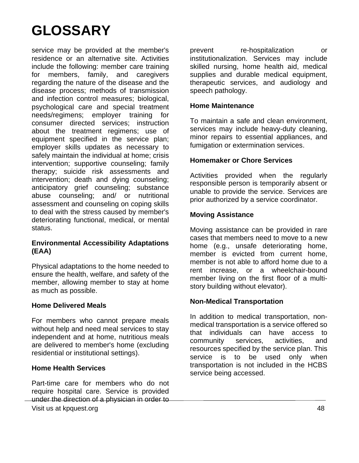service may be provided at the member's residence or an alternative site. Activities include the following: member care training for members, family, and caregivers regarding the nature of the disease and the disease process; methods of transmission and infection control measures; biological, psychological care and special treatment needs/regimens; employer training for consumer directed services; instruction about the treatment regimens; use of equipment specified in the service plan; employer skills updates as necessary to safely maintain the individual at home; crisis intervention; supportive counseling; family therapy; suicide risk assessments and intervention; death and dying counseling; anticipatory grief counseling; substance abuse counseling; and/ or nutritional assessment and counseling on coping skills to deal with the stress caused by member's deteriorating functional, medical, or mental status.

#### **Environmental Accessibility Adaptations (EAA)**

Physical adaptations to the home needed to ensure the health, welfare, and safety of the member, allowing member to stay at home as much as possible.

#### **Home Delivered Meals**

For members who cannot prepare meals without help and need meal services to stay independent and at home, nutritious meals are delivered to member's home (excluding residential or institutional settings).

#### **Home Health Services**

Visit us at kpquest.org 48 Part-time care for members who do not require hospital care. Service is provided under the direction of a physician in order to

prevent re-hospitalization or institutionalization. Services may include skilled nursing, home health aid, medical supplies and durable medical equipment, therapeutic services, and audiology and speech pathology.

#### **Home Maintenance**

To maintain a safe and clean environment, services may include heavy-duty cleaning, minor repairs to essential appliances, and fumigation or extermination services.

#### **Homemaker or Chore Services**

Activities provided when the regularly responsible person is temporarily absent or unable to provide the service. Services are prior authorized by a service coordinator.

#### **Moving Assistance**

Moving assistance can be provided in rare cases that members need to move to a new home (e.g., unsafe deteriorating home, member is evicted from current home, member is not able to afford home due to a rent increase, or a wheelchair-bound member living on the first floor of a multistory building without elevator).

#### **Non-Medical Transportation**

In addition to medical transportation, nonmedical transportation is a service offered so that individuals can have access to community services, activities, and resources specified by the service plan. This service is to be used only when transportation is not included in the HCBS service being accessed.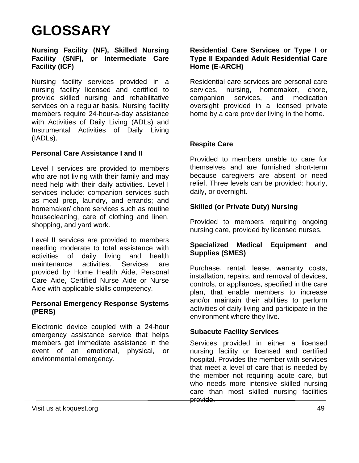#### **Nursing Facility (NF), Skilled Nursing Facility (SNF), or Intermediate Care Facility (ICF)**

Nursing facility services provided in a nursing facility licensed and certified to provide skilled nursing and rehabilitative services on a regular basis. Nursing facility members require 24-hour-a-day assistance with Activities of Daily Living (ADLs) and Instrumental Activities of Daily Living (IADLs).

#### **Personal Care Assistance I and II**

Level I services are provided to members who are not living with their family and may need help with their daily activities. Level I services include: companion services such as meal prep, laundry, and errands; and homemaker/ chore services such as routine housecleaning, care of clothing and linen, shopping, and yard work.

Level II services are provided to members needing moderate to total assistance with activities of daily living and health maintenance activities. Services are provided by Home Health Aide, Personal Care Aide, Certified Nurse Aide or Nurse Aide with applicable skills competency.

#### **Personal Emergency Response Systems (PERS)**

Electronic device coupled with a 24-hour emergency assistance service that helps members get immediate assistance in the event of an emotional, physical, or environmental emergency.

#### **Residential Care Services or Type I or Type II Expanded Adult Residential Care Home (E-ARCH)**

Residential care services are personal care services, nursing, homemaker, chore, companion services, and medication oversight provided in a licensed private home by a care provider living in the home.

#### **Respite Care**

Provided to members unable to care for themselves and are furnished short-term because caregivers are absent or need relief. Three levels can be provided: hourly, daily, or overnight.

#### **Skilled (or Private Duty) Nursing**

Provided to members requiring ongoing nursing care, provided by licensed nurses.

#### **Specialized Medical Equipment and Supplies (SMES)**

Purchase, rental, lease, warranty costs, installation, repairs, and removal of devices, controls, or appliances, specified in the care plan, that enable members to increase and/or maintain their abilities to perform activities of daily living and participate in the environment where they live.

#### **Subacute Facility Services**

Services provided in either a licensed nursing facility or licensed and certified hospital. Provides the member with services that meet a level of care that is needed by the member not requiring acute care, but who needs more intensive skilled nursing care than most skilled nursing facilities provide.